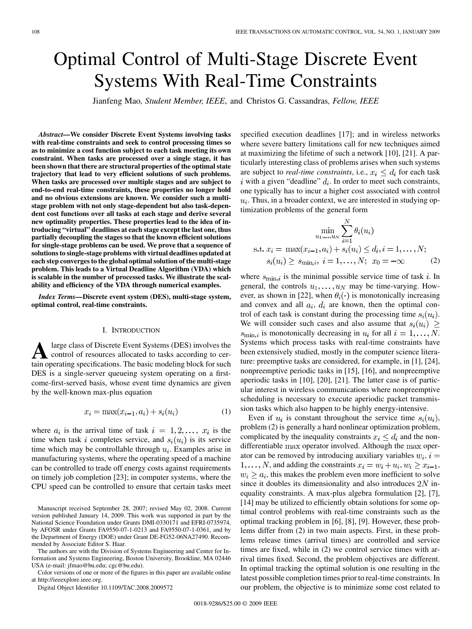# Optimal Control of Multi-Stage Discrete Event Systems With Real-Time Constraints

Jianfeng Mao*, Student Member, IEEE*, and Christos G. Cassandras*, Fellow, IEEE*

*Abstract—***We consider Discrete Event Systems involving tasks with real-time constraints and seek to control processing times so as to minimize a cost function subject to each task meeting its own constraint. When tasks are processed over a single stage, it has been shown that there are structural properties of the optimal state trajectory that lead to very efficient solutions of such problems. When tasks are processed over multiple stages and are subject to end-to-end real-time constraints, these properties no longer hold and no obvious extensions are known. We consider such a multistage problem with not only stage-dependent but also task-dependent cost functions over all tasks at each stage and derive several new optimality properties. These properties lead to the idea of introducing "virtual" deadlines at each stage except the last one, thus partially decoupling the stages so that the known efficient solutions for single-stage problems can be used. We prove that a sequence of solutions to single-stage problems with virtual deadlines updated at each step converges to the global optimal solution of the multi-stage problem. This leads to a Virtual Deadline Algorithm (VDA) which is scalable in the number of processed tasks. We illustrate the scalability and efficiency of the VDA through numerical examples.**

*Index Terms—***Discrete event system (DES), multi-stage system, optimal control, real-time constraints.**

#### I. INTRODUCTION

A large class of Discrete Event Systems (DES) involves the<br>control of resources allocated to tasks according to cer-<br>tein operating apositioning. The hegie modeling block for such tain operating specifications. The basic modeling block for such DES is a single-server queueing system operating on a firstcome-first-served basis, whose event time dynamics are given by the well-known max-plus equation

$$
x_i = \max(x_{i-1}, a_i) + s_i(u_i)
$$
 (1)

where  $a_i$  is the arrival time of task  $i = 1, 2, ..., x_i$  is the time when task i completes service, and  $s_i(u_i)$  is its service time which may be controllable through  $u_i$ . Examples arise in manufacturing systems, where the operating speed of a machine can be controlled to trade off energy costs against requirements on timely job completion [23]; in computer systems, where the CPU speed can be controlled to ensure that certain tasks meet

The authors are with the Division of Systems Engineering and Center for Information and Systems Engineering, Boston University, Brookline, MA 02446 USA (e-mail: jfmao@bu.edu; cgc@bu.edu).

Color versions of one or more of the figures in this paper are available online at http://ieeexplore.ieee.org.

Digital Object Identifier 10.1109/TAC.2008.2009572

specified execution deadlines [17]; and in wireless networks where severe battery limitations call for new techniques aimed at maximizing the lifetime of such a network [10], [21]. A particularly interesting class of problems arises when such systems are subject to *real-time constraints*, i.e.,  $x_i \leq d_i$  for each task i with a given "deadline"  $d_i$ . In order to meet such constraints, one typically has to incur a higher cost associated with control  $u_i$ . Thus, in a broader context, we are interested in studying optimization problems of the general form

$$
\min_{u_1, \dots, u_N} \sum_{i=1}^N \theta_i(u_i)
$$
  
s.t.  $x_i = \max(x_{i-1}, a_i) + s_i(u_i) \le d_i, i = 1, \dots, N;$   
 $s_i(u_i) \ge s_{\min,i}, i = 1, \dots, N;$   $x_0 = -\infty$  (2)

where  $s_{\text{min},i}$  is the minimal possible service time of task i. In general, the controls  $u_1, \ldots, u_N$  may be time-varying. However, as shown in [22], when  $\theta_i(\cdot)$  is monotonically increasing and convex and all  $a_i$ ,  $d_i$  are known, then the optimal control of each task is constant during the processing time  $s_i(u_i)$ . We will consider such cases and also assume that  $s_i(u_i) \geq$  $s_{\min,i}$  is monotonically decreasing in  $u_i$  for all  $i = 1, \ldots, N$ . Systems which process tasks with real-time constraints have been extensively studied, mostly in the computer science literature: preemptive tasks are considered, for example, in [1], [24], nonpreemptive periodic tasks in [15], [16], and nonpreemptive aperiodic tasks in [10], [20], [21]. The latter case is of particular interest in wireless communications where nonpreemptive scheduling is necessary to execute aperiodic packet transmission tasks which also happen to be highly energy-intensive.

Even if  $u_i$  is constant throughout the service time  $s_i(u_i)$ , problem (2) is generally a hard nonlinear optimization problem, complicated by the inequality constraints  $x_i \leq d_i$  and the nondifferentiable max operator involved. Although the max operator can be removed by introducing auxiliary variables  $w_i$ ,  $i =$  $1, \ldots, N$ , and adding the constraints  $x_i = w_i + u_i, w_i \ge x_{i-1}$ ,  $w_i \ge a_i$ , this makes the problem even more inefficient to solve since it doubles its dimensionality and also introduces  $2N$  inequality constraints. A max-plus algebra formulation [2], [7], [14] may be utilized to efficiently obtain solutions for some optimal control problems with real-time constraints such as the optimal tracking problem in [6], [8], [9]. However, these problems differ from (2) in two main aspects. First, in these problems release times (arrival times) are controlled and service times are fixed, while in (2) we control service times with arrival times fixed. Second, the problem objectives are different. In optimal tracking the optimal solution is one resulting in the latest possible completion times prior to real-time constraints. In our problem, the objective is to minimize some cost related to

Manuscript received September 28, 2007; revised May 02, 2008. Current version published January 14, 2009. This work was supported in part by the National Science Foundation under Grants DMI-0330171 and EFRI-0735974, by AFOSR under Grants FA9550-07-1-0213 and FA9550-07-1-0361, and by the Department of Energy (DOE) under Grant DE-FG52-06NA27490. Recommended by Associate Editor S. Haar.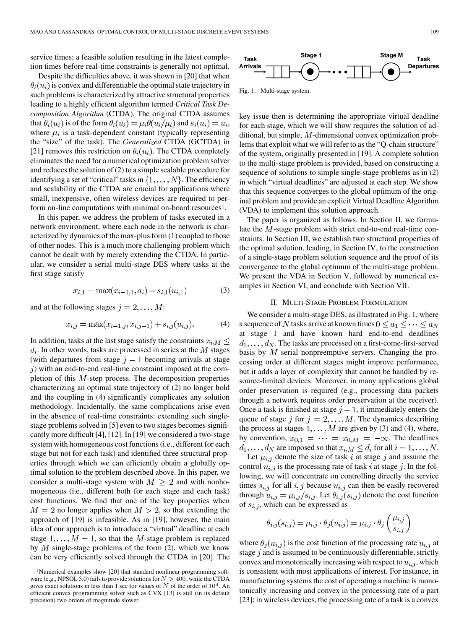service times; a feasible solution resulting in the latest completion times before real-time constraints is generally not optimal.

Despite the difficulties above, it was shown in [20] that when  $\theta_i(u_i)$  is convex and differentiable the optimal state trajectory in such problems is characterized by attractive structural properties leading to a highly efficient algorithm termed *Critical Task Decomposition Algorithm* (CTDA). The original CTDA assumes that  $\theta_i(u_i)$  is of the form  $\theta_i(u_i) = \mu_i \theta(u_i/\mu_i)$  and  $s_i(u_i) = u_i$ , where  $\mu_i$  is a task-dependent constant (typically representing the "size" of the task). The *Generalized* CTDA (GCTDA) in [21] removes this restriction on  $\theta_i(u_i)$ . The CTDA completely eliminates the need for a numerical optimization problem solver and reduces the solution of (2) to a simple scalable procedure for identifying a set of "critical" tasks in  $\{1, \ldots, N\}$ . The efficiency and scalability of the CTDA are crucial for applications where small, inexpensive, often wireless devices are required to perform on-line computations with minimal on-board resources<sup>1</sup>.

In this paper, we address the problem of tasks executed in a network environment, where each node in the network is characterized by dynamics of the max-plus form (1) coupled to those of other nodes. This is a much more challenging problem which cannot be dealt with by merely extending the CTDA. In particular, we consider a serial multi-stage DES where tasks at the first stage satisfy

$$
x_{i,1} = \max(x_{i-1,1}, a_i) + s_{i,1}(u_{i,1})
$$
\n(3)

and at the following stages  $j = 2, \ldots, M$ :

$$
x_{i,j} = \max(x_{i-1,j}, x_{i,j-1}) + s_{i,j}(u_{i,j}).\tag{4}
$$

In addition, tasks at the last stage satisfy the constraints  $x_{i,M} \leq$  $d_i$ . In other words, tasks are processed in series at the M stages (with departures from stage  $j-1$  becoming arrivals at stage  $j$ ) with an end-to-end real-time constraint imposed at the completion of this  $M$ -step process. The decomposition properties characterizing an optimal state trajectory of (2) no longer hold and the coupling in (4) significantly complicates any solution methodology. Incidentally, the same complications arise even in the absence of real-time constraints: extending such singlestage problems solved in [5] even to two stages becomes significantly more difficult [4], [12]. In [19] we considered a two-stage system with homogeneous cost functions (i.e., different for each stage but not for each task) and identified three structural properties through which we can efficiently obtain a globally optimal solution to the problem described above. In this paper, we consider a multi-stage system with  $M \geq 2$  and with nonhomogeneous (i.e., different both for each stage and each task) cost functions. We find that one of the key properties when  $M = 2$  no longer applies when  $M > 2$ , so that extending the approach of [19] is infeasible. As in [19], however, the main idea of our approach is to introduce a "virtual" deadline at each stage  $1, \ldots, M-1$ , so that the M-stage problem is replaced by  $M$  single-stage problems of the form (2), which we know can be very efficiently solved through the CTDA in [20]. The



Fig. 1. Multi-stage system.

key issue then is determining the appropriate virtual deadline for each stage, which we will show requires the solution of additional, but simple,  $M$ -dimensional convex optimization problems that exploit what we will refer to as the "Q-chain structure" of the system, originally presented in [19]. A complete solution to the multi-stage problem is provided, based on constructing a sequence of solutions to simple single-stage problems as in (2) in which "virtual deadlines" are adjusted at each step. We show that this sequence converges to the global optimum of the original problem and provide an explicit Virtual Deadline Algorithm (VDA) to implement this solution approach.

The paper is organized as follows. In Section II, we formulate the  $M$ -stage problem with strict end-to-end real-time constraints. In Section III, we establish two structural properties of the optimal solution, leading, in Section IV, to the construction of a single-stage problem solution sequence and the proof of its convergence to the global optimum of the multi-stage problem. We present the VDA in Section V, followed by numerical examples in Section VI, and conclude with Section VII.

## II. MULTI-STAGE PROBLEM FORMULATION

We consider a multi-stage DES, as illustrated in Fig. 1, where a sequence of N tasks arrive at known times  $0 \le a_1 \le \cdots \le a_N$ at stage 1 and have known hard end-to-end deadlines  $d_1, \ldots, d_N$ . The tasks are processed on a first-come-first-served basis by  $M$  serial nonpreemptive servers. Changing the processing order at different stages might improve performance, but it adds a layer of complexity that cannot be handled by resource-limited devices. Moreover, in many applications global order preservation is required (e.g., processing data packets through a network requires order preservation at the receiver). Once a task is finished at stage  $j - 1$ , it immediately enters the queue of stage j for  $j = 2, ..., M$ . The dynamics describing the process at stages  $1, \ldots, M$  are given by (3) and (4), where, by convention,  $x_{0,1} = \cdots = x_{0,M} = -\infty$ . The deadlines  $d_1, \ldots, d_N$  are imposed so that  $x_{i,M} \leq d_i$  for all  $i = 1, \ldots, N$ .

Let  $\mu_{i,j}$  denote the size of task i at stage j and assume the control  $u_{i,j}$  is the processing rate of task i at stage j. In the following, we will concentrate on controlling directly the service times  $s_{i,j}$  for all  $i, j$  because  $u_{i,j}$  can then be easily recovered through  $u_{i,j} = \mu_{i,j}/s_{i,j}$ . Let  $\theta_{i,j}(s_{i,j})$  denote the cost function of  $s_{i,j}$ , which can be expressed as

$$
\theta_{i,j}(s_{i,j}) = \mu_{i,j} \cdot \theta_j(u_{i,j}) = \mu_{i,j} \cdot \theta_j \left(\frac{\mu_{i,j}}{s_{i,j}}\right)
$$

where  $\theta_i(u_{i,j})$  is the cost function of the processing rate  $u_{i,j}$  at stage  $j$  and is assumed to be continuously differentiable, strictly convex and monotonically increasing with respect to  $u_{i,j}$ , which is consistent with most applications of interest. For instance, in manufacturing systems the cost of operating a machine is monotonically increasing and convex in the processing rate of a part [23]; in wireless devices, the processing rate of a task is a convex

<sup>1</sup>Numerical examples show [20] that standard nonlinear programming software (e.g., NPSOL 5.0) fails to provide solutions for  $N > 400$ , while the CTDA gives exact solutions in less than 1 sec for values of  $N$  of the order of  $10^4$ . An efficient convex programming solver such as CVX [13] is still (in its default precision) two orders of magnitude slower.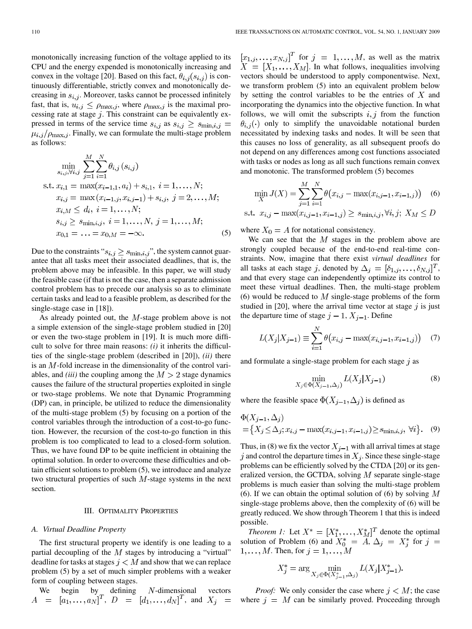monotonically increasing function of the voltage applied to its CPU and the energy expended is monotonically increasing and convex in the voltage [20]. Based on this fact,  $\theta_{i,j}(s_{i,j})$  is continuously differentiable, strictly convex and monotonically decreasing in  $s_{i,j}$ . Moreover, tasks cannot be processed infinitely fast, that is,  $u_{i,j} \le \rho_{\max,j}$ , where  $\rho_{\max,j}$  is the maximal processing rate at stage  $j$ . This constraint can be equivalently expressed in terms of the service time  $s_{i,j}$  as  $s_{i,j} \geq s_{\min,i,j} =$  $\mu_{i,j}/\rho_{\text{max},j}$ . Finally, we can formulate the multi-stage problem as follows:

$$
\min_{s_{i,j}, \forall i,j} \sum_{j=1}^{M} \sum_{i=1}^{N} \theta_{i,j}(s_{i,j})
$$
\n
$$
\text{s.t. } x_{i,1} = \max(x_{i-1,1}, a_i) + s_{i,1}, i = 1, \dots, N;
$$
\n
$$
x_{i,j} = \max(x_{i-1,j}, x_{i,j-1}) + s_{i,j}, j = 2, \dots, M;
$$
\n
$$
x_{i,M} \leq d_i, i = 1, \dots, N;
$$
\n
$$
s_{i,j} \geq s_{\min,i,j}, i = 1, \dots, N, j = 1, \dots, M;
$$
\n
$$
x_{0,1} = \dots = x_{0,M} = -\infty.
$$
\n(5)

Due to the constraints " $s_{i,j} \geq s_{\min,i,j}$ ", the system cannot guarantee that all tasks meet their associated deadlines, that is, the problem above may be infeasible. In this paper, we will study the feasible case (if that is not the case, then a separate admission control problem has to precede our analysis so as to eliminate certain tasks and lead to a feasible problem, as described for the single-stage case in [18]).

As already pointed out, the  $M$ -stage problem above is not a simple extension of the single-stage problem studied in [20] or even the two-stage problem in [19]. It is much more difficult to solve for three main reasons: *(i)* it inherits the difficulties of the single-stage problem (described in [20]), *(ii)* there is an  $M$ -fold increase in the dimensionality of the control variables, and *(iii)* the coupling among the  $M > 2$  stage dynamics causes the failure of the structural properties exploited in single or two-stage problems. We note that Dynamic Programming (DP) can, in principle, be utilized to reduce the dimensionality of the multi-stage problem (5) by focusing on a portion of the control variables through the introduction of a cost-to-go function. However, the recursion of the cost-to-go function in this problem is too complicated to lead to a closed-form solution. Thus, we have found DP to be quite inefficient in obtaining the optimal solution. In order to overcome these difficulties and obtain efficient solutions to problem (5), we introduce and analyze two structural properties of such  $M$ -stage systems in the next section.

#### III. OPTIMALITY PROPERTIES

#### *A. Virtual Deadline Property*

The first structural property we identify is one leading to a partial decoupling of the  $M$  stages by introducing a "virtual" deadline for tasks at stages  $j < M$  and show that we can replace problem (5) by a set of much simpler problems with a weaker form of coupling between stages.

We begin by defining N-dimensional vectors  
\n
$$
A = [a_1, ..., a_N]^T
$$
,  $D = [d_1, ..., d_N]^T$ , and  $X_j =$ 

for  $j = 1, \ldots, M$ , as well as the matrix . In what follows, inequalities involving vectors should be understood to apply componentwise. Next, we transform problem (5) into an equivalent problem below by setting the control variables to be the entries of  $X$  and incorporating the dynamics into the objective function. In what follows, we will omit the subscripts  $i, j$  from the function  $\theta_{i,j}(\cdot)$  only to simplify the unavoidable notational burden necessitated by indexing tasks and nodes. It will be seen that this causes no loss of generality, as all subsequent proofs do not depend on any differences among cost functions associated with tasks or nodes as long as all such functions remain convex and monotonic. The transformed problem (5) becomes

$$
\min_{X} J(X) = \sum_{j=1}^{M} \sum_{i=1}^{N} \theta(x_{i,j} - \max(x_{i,j-1}, x_{i-1,j}))
$$
 (6)  
t.  $x_{i,j} - \max(x_{i,j-1}, x_{i-1,j}) \ge s_{\min,i,j}, \forall i, j; X_M \le D$ 

where  $X_0 = A$  for notational consistency.

S.

We can see that the  $M$  stages in the problem above are strongly coupled because of the end-to-end real-time constraints. Now, imagine that there exist *virtual deadlines* for all tasks at each stage j, denoted by  $\Delta_j = [\delta_{1,j}, \ldots, \delta_{N,j}]^T$ , and that every stage can independently optimize its control to meet these virtual deadlines. Then, the multi-stage problem (6) would be reduced to  $M$  single-stage problems of the form studied in [20], where the arrival time vector at stage  $j$  is just the departure time of stage  $j-1$ ,  $X_{j-1}$ . Define

$$
L(X_j|X_{j-1}) \equiv \sum_{i=1}^{N} \theta(x_{i,j} - \max(x_{i,j-1}, x_{i-1,j})) \quad (7)
$$

and formulate a single-stage problem for each stage  $j$  as

$$
\min_{X_j \in \Phi(X_{j-1}, \Delta_j)} L(X_j | X_{j-1})
$$
\n(8)

where the feasible space  $\Phi(X_{i-1}, \Delta_i)$  is defined as

$$
\Phi(X_{j-1}, \Delta_j) = \{X_j \le \Delta_j; x_{i,j} - \max(x_{i,j-1}, x_{i-1,j}) \ge s_{\min,i,j}, \forall i\}.
$$
 (9)

Thus, in (8) we fix the vector  $X_{j-1}$  with all arrival times at stage j and control the departure times in  $X_i$ . Since these single-stage problems can be efficiently solved by the CTDA [20] or its generalized version, the GCTDA, solving  $M$  separate single-stage problems is much easier than solving the multi-stage problem (6). If we can obtain the optimal solution of (6) by solving  $M$ single-stage problems above, then the complexity of (6) will be greatly reduced. We show through Theorem 1 that this is indeed possible.

*Theorem 1:* Let  $X^* = [X_1^*, \ldots, X_M^*]^T$  denote the optimal solution of Problem (6) and  $X_0^* = A$ ,  $\Delta_j = X_j^*$  for  $j =$  $1, \ldots, M$ . Then, for  $j = 1, \ldots, M$ 

$$
X_j^* = \arg\min_{X_j \in \Phi(X_{j-1}^*, \Delta_j)} L(X_j | X_{j-1}^*).
$$

*Proof:* We only consider the case where  $j < M$ ; the case where  $j = M$  can be similarly proved. Proceeding through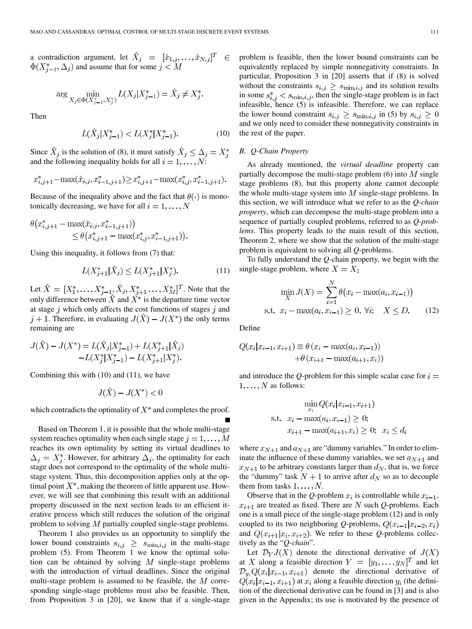a contradiction argument, let  $\hat{X}_j = [\hat{x}_{1,j}, \dots, \hat{x}_{N,j}]^T$  $\in$  $\Phi(X_{j-1}^*, \Delta_j)$  and assume that for some  $j < M$ 

$$
\arg\min_{X_j \in \Phi(X_{j-1}^*, X_j^*)} L(X_j | X_{j-1}^*) = \hat{X}_j \neq X_j^*.
$$

Then

$$
L(\hat{X}_j | X^*_{j-1}) < L(X^*_j | X^*_{j-1}).\tag{10}
$$

Since  $\hat{X}_j$  is the solution of (8), it must satisfy  $\hat{X}_j \leq \Delta_j = X_j^*$ and the following inequality holds for all  $i = 1, \ldots, N$ :

$$
x_{i,j+1}^* - \max(\hat{x}_{i,j},x_{i-1,j+1}^*) \!\geq\! x_{i,j+1}^* - \max(x_{i,j}^*,x_{i-1,j+1}^*).
$$

Because of the inequality above and the fact that  $\theta(\cdot)$  is monotonically decreasing, we have for all  $i = 1, \dots, N$ 

$$
\theta(x_{i,j+1}^* - \max(\hat{x}_{i,j}, x_{i-1,j+1}^*) ) \leq \theta(x_{i,j+1}^* - \max(x_{i,j}^*, x_{i-1,j+1}^*) ).
$$

Using this inequality, it follows from (7) that:

$$
L(X_{j+1}^*|\hat{X}_j) \le L(X_{j+1}^*|X_j^*).
$$
\n(11)

Let  $\hat{X} = [X_1^*, \dots, X_{j-1}^*, \hat{X}_j, X_{j+1}^*, \dots, X_M^*]^T$ . Note that the only difference between  $\hat{X}$  and  $X^*$  is the departure time vector at stage  $j$  which only affects the cost functions of stages  $j$  and  $j + 1$ . Therefore, in evaluating  $J(\hat{X}) - J(X^*)$  the only terms remaining are

$$
J(\hat{X}) - J(X^*) = L(\hat{X}_j | X_{j-1}^*) + L(X_{j+1}^* | \hat{X}_j)
$$
  
-L(X\_j^\* | X\_{j-1}^\*) - L(X\_{j+1}^\* | X\_j^\*).

Combining this with (10) and (11), we have

$$
J(\hat{X}) - J(X^*) < 0
$$

which contradicts the optimality of  $X^*$  and completes the proof.

Based on Theorem 1, it is possible that the whole multi-stage system reaches optimality when each single stage  $j = 1, \ldots, M$ reaches its own optimality by setting its virtual deadlines to  $\Delta_j = X_j^*$ . However, for arbitrary  $\Delta_j$ , the optimality for each stage does not correspond to the optimality of the whole multistage system. Thus, this decomposition applies only at the optimal point  $X^*$ , making the theorem of little apparent use. However, we will see that combining this result with an additional property discussed in the next section leads to an efficient iterative process which still reduces the solution of the original problem to solving  $M$  partially coupled single-stage problems.

Theorem 1 also provides us an opportunity to simplify the lower bound constraints  $s_{i,j} \geq s_{\min,i,j}$  in the multi-stage problem (5). From Theorem 1 we know the optimal solution can be obtained by solving  $M$  single-stage problems with the introduction of virtual deadlines. Since the original multi-stage problem is assumed to be feasible, the  $M$  corresponding single-stage problems must also be feasible. Then, from Proposition 3 in [20], we know that if a single-stage problem is feasible, then the lower bound constraints can be equivalently replaced by simple nonnegativity constraints. In particular, Proposition 3 in [20] asserts that if (8) is solved without the constraints  $s_{i,j} \geq s_{\min,i,j}$  and its solution results in some  $s_{i,j}^* < s_{\min,i,j}$ , then the single-stage problem is in fact infeasible, hence (5) is infeasible. Therefore, we can replace the lower bound constraint  $s_{i,j} \geq s_{\min,i,j}$  in (5) by  $s_{i,j} \geq 0$ and we only need to consider these nonnegativity constraints in the rest of the paper.

## *B. Q-Chain Property*

As already mentioned, the *virtual deadline* property can partially decompose the multi-stage problem  $(6)$  into  $M$  single stage problems (8), but this property alone cannot decouple the whole multi-stage system into  $M$  single-stage problems. In this section, we will introduce what we refer to as the *Q-chain property*, which can decompose the multi-stage problem into a sequence of partially coupled problems, referred to as *Q-problems*. This property leads to the main result of this section, Theorem 2, where we show that the solution of the multi-stage problem is equivalent to solving all *Q*-problems.

To fully understand the *Q*-chain property, we begin with the single-stage problem, where  $X = X_1$ 

$$
\min_{X} J(X) = \sum_{i=1}^{N} \theta(x_i - \max(a_i, x_{i-1}))
$$
  
s.t.  $x_i - \max(a_i, x_{i-1}) \ge 0, \forall i; \quad X \le D.$  (12)

Define

$$
Q(x_i|x_{i-1}, x_{i+1}) \equiv \theta (x_i - \max(a_i, x_{i-1}))
$$

$$
+ \theta (x_{i+1} - \max(a_{i+1}, x_i))
$$

and introduce the *Q*-problem for this simple scalar case for  $i =$  $1, \ldots, N$  as follows:

$$
\min_{x_i} Q(x_i | x_{i-1}, x_{i+1})
$$
  
s.t.  $x_i - \max(a_i, x_{i-1}) \ge 0$ ;  
 $x_{i+1} - \max(a_{i+1}, x_i) \ge 0$ ;  $x_i \le d_i$ 

where  $x_{N+1}$  and  $a_{N+1}$  are "dummy variables." In order to eliminate the influence of these dummy variables, we set  $a_{N+1}$  and  $x_{N+1}$  to be arbitrary constants larger than  $d_N$ , that is, we force the "dummy" task  $N + 1$  to arrive after  $d_N$  so as to decouple them from tasks  $1, \ldots, N$ .

Observe that in the *Q*-problem  $x_i$  is controllable while  $x_{i-1}$ ,  $x_{i+1}$  are treated as fixed. There are N such *Q*-problems. Each one is a small piece of the single-stage problem (12) and is only coupled to its two neighboring *Q*-problems,  $Q(x_{i-1}|x_{i-2},x_i)$ and  $Q(x_{i+1}|x_i, x_{i+2})$ . We refer to these *Q*-problems collectively as the "*Q-chain*".

Let  $\mathcal{D}_Y J(X)$  denote the directional derivative of  $J(X)$ at X along a feasible direction  $Y = [y_1, \dots, y_N]^T$  and let  $\mathcal{D}_{y_i}Q(x_i|x_{i-1},x_{i+1})$  denote the directional derivative of  $Q(x_i|x_{i-1},x_{i+1})$  at  $x_i$  along a feasible direction  $y_i$  (the definition of the directional derivative can be found in [3] and is also given in the Appendix; its use is motivated by the presence of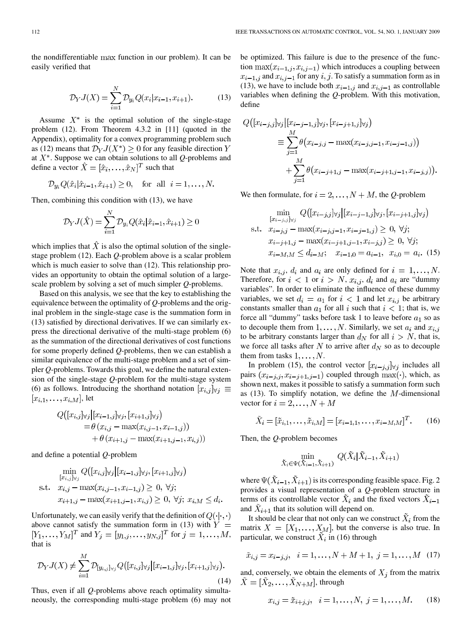the nondifferentiable max function in our problem). It can be easily verified that

$$
\mathcal{D}_Y J(X) = \sum_{i=1}^N \mathcal{D}_{y_i} Q(x_i | x_{i-1}, x_{i+1}).
$$
 (13)

Assume  $X^*$  is the optimal solution of the single-stage problem (12). From Theorem 4.3.2 in [11] (quoted in the Appendix), optimality for a convex programming problem such as (12) means that  $\mathcal{D}_Y J(X^*) \geq 0$  for any feasible direction Y at  $X^*$ . Suppose we can obtain solutions to all  $Q$ -problems and define a vector  $\hat{X} = [\hat{x}_i, \dots, \hat{x}_N]^T$  such that

$$
\mathcal{D}_{y_i} Q(\hat{x}_i | \hat{x}_{i-1}, \hat{x}_{i+1}) \ge 0, \text{ for all } i = 1, ..., N.
$$

Then, combining this condition with (13), we have

$$
\mathcal{D}_{Y}J(\hat{X}) = \sum_{i=1}^{N} \mathcal{D}_{y_i} Q(\hat{x}_i | \hat{x}_{i-1}, \hat{x}_{i+1}) \ge 0
$$

which implies that  $\hat{X}$  is also the optimal solution of the singlestage problem (12). Each *Q*-problem above is a scalar problem which is much easier to solve than  $(12)$ . This relationship provides an opportunity to obtain the optimal solution of a largescale problem by solving a set of much simpler *Q*-problems.

Based on this analysis, we see that the key to establishing the equivalence between the optimality of *Q*-problems and the original problem in the single-stage case is the summation form in (13) satisfied by directional derivatives. If we can similarly express the directional derivative of the multi-stage problem (6) as the summation of the directional derivatives of cost functions for some properly defined *Q*-problems, then we can establish a similar equivalence of the multi-stage problem and a set of simpler *Q*-problems. Towards this goal, we define the natural extension of the single-stage *Q*-problem for the multi-stage system (6) as follows. Introducing the shorthand notation  $[x_{i,j}]_{\forall j} \equiv$  $[x_{i,1},\ldots,x_{i,M}],$  let

$$
Q([x_{i,j}] \forall j | [x_{i-1,j}] \forall j, [x_{i+1,j}] \forall j)
$$
  
=  $\theta (x_{i,j} - \max(x_{i,j-1}, x_{i-1,j}))$   
+  $\theta (x_{i+1,j} - \max(x_{i+1,j-1}, x_{i,j}))$ 

and define a potential *Q*-problem

Ŕ

$$
\min_{[x_{i,j}]_{\forall j}} Q([x_{i,j}]_{\forall j} | [x_{i-1,j}]_{\forall j}, [x_{i+1,j}]_{\forall j})
$$
\ns.t.

\n
$$
x_{i,j} - \max(x_{i,j-1}, x_{i-1,j}) \geq 0, \forall j;
$$
\n
$$
x_{i+1,j} - \max(x_{i+1,j-1}, x_{i,j}) \geq 0, \forall j; \ x_{i,M} \leq d_i.
$$

Unfortunately, we can easily verify that the definition of  $Q(\cdot|\cdot,\cdot)$ above cannot satisfy the summation form in (13) with  $Y =$  $[Y_1, ..., Y_M]^T$  and  $Y_j = [y_{1,j}, ..., y_{N,j}]^T$  for  $j = 1, ..., M$ , that is

$$
\mathcal{D}_Y J(X) \neq \sum_{i=1}^M \mathcal{D}_{[y_{i,j}]_{\forall j}} Q\big([x_{i,j}]_{\forall j} | [x_{i-1,j}]_{\forall j}, [x_{i+1,j}]_{\forall j}\big).
$$
\n(14)

Thus, even if all *Q*-problems above reach optimality simultaneously, the corresponding multi-stage problem (6) may not be optimized. This failure is due to the presence of the function  $\max(x_{i-1,j}, x_{i,j-1})$  which introduces a coupling between  $x_{i-1,j}$  and  $x_{i,j-1}$  for any  $i, j$ . To satisfy a summation form as in (13), we have to include both  $x_{i-1,j}$  and  $x_{i,j-1}$  as controllable variables when defining the *Q*-problem. With this motivation, define

$$
Q([x_{i-j,j}] \forall j | [x_{i-j-1,j}] \forall j, [x_{i-j+1,j}] \forall j)
$$
  
\n
$$
\equiv \sum_{j=1}^{M} \theta(x_{i-j,j} - \max(x_{i-j,j-1}, x_{i-j-1,j}))
$$
  
\n
$$
+ \sum_{j=1}^{M} \theta(x_{i-j+1,j} - \max(x_{i-j+1,j-1}, x_{i-j,j})).
$$

We then formulate, for  $i = 2, \ldots, N + M$ , the *Q*-problem

$$
\min_{[x_{i-j,j}]\forall j} Q([x_{i-j,j}]\forall j | [x_{i-j-1,j}]\forall j, [x_{i-j+1,j}]\forall j)
$$
\ns.t.  $x_{i-j,j} - \max(x_{i-j,j-1}, x_{i-j-1,j}) \ge 0, \forall j;$   
\n $x_{i-j+1,j} - \max(x_{i-j+1,j-1}, x_{i-j,j}) \ge 0, \forall j;$   
\n $x_{i-M,M} \le d_{i-M}; \quad x_{i-1,0} = a_{i-1}, \quad x_{i,0} = a_i.$  (15)

Note that  $x_{i,j}$ ,  $d_i$  and  $a_i$  are only defined for  $i = 1, ..., N$ . Therefore, for  $i < 1$  or  $i > N$ ,  $x_{i,j}$ ,  $d_i$  and  $a_i$  are "dummy" variables". In order to eliminate the influence of these dummy variables, we set  $d_i = a_1$  for  $i < 1$  and let  $x_{i,j}$  be arbitrary constants smaller than  $a_1$  for all i such that  $i < 1$ ; that is, we force all "dummy" tasks before task 1 to leave before  $a_1$  so as to decouple them from  $1, \ldots, N$ . Similarly, we set  $a_i$  and  $x_{i,j}$ to be arbitrary constants larger than  $d_N$  for all  $i > N$ , that is, we force all tasks after N to arrive after  $d_N$  so as to decouple them from tasks  $1, \ldots, N$ .

In problem (15), the control vector  $[x_{i-j,j}]_{\forall j}$  includes all pairs  $(x_{i-j,j}, x_{i-j+1,j-1})$  coupled through  $\max(\cdot)$ , which, as shown next, makes it possible to satisfy a summation form such as (13). To simplify notation, we define the  $M$ -dimensional vector for  $i = 2, ..., N + M$ 

$$
\tilde{X}_i = [\tilde{x}_{i,1}, \dots, \tilde{x}_{i,M}] = [x_{i-1,1}, \dots, x_{i-M,M}]^T.
$$
 (16)

Then, the *Q*-problem becomes

$$
\min_{\tilde{X}_i \in \Psi(\tilde{X}_{i-1}, \tilde{X}_{i+1})} Q(\tilde{X}_i | \tilde{X}_{i-1}, \tilde{X}_{i+1})
$$

where  $\Psi(\tilde{X}_{i-1}, \tilde{X}_{i+1})$  is its corresponding feasible space. Fig. 2 provides a visual representation of a *Q*-problem structure in terms of its controllable vector  $X_i$  and the fixed vectors  $X_{i-1}$ and  $X_{i+1}$  that its solution will depend on.

It should be clear that not only can we construct  $\tilde{X}_i$  from the matrix  $X = [X_1, \ldots, X_M]$ , but the converse is also true. In particular, we construct  $\tilde{X}_i$  in (16) through

$$
\tilde{x}_{i,j} = x_{i-j,j}, \quad i = 1, \dots, N + M + 1, \ j = 1, \dots, M \quad (17)
$$

and, conversely, we obtain the elements of  $X_i$  from the matrix  $\tilde{X} = [\tilde{X}_2, \ldots, \tilde{X}_{N+M}],$  through

$$
x_{i,j} = \tilde{x}_{i+j,j}, \quad i = 1, \dots, N, \ j = 1, \dots, M. \tag{18}
$$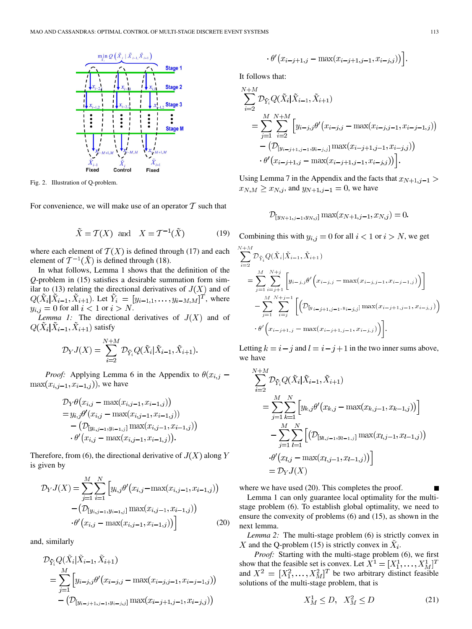

Fig. 2. Illustration of Q-problem.

For convenience, we will make use of an operator  $T$  such that

$$
\tilde{X} = \mathcal{T}(X) \text{ and } X = \mathcal{T}^{-1}(\tilde{X})
$$
 (19)

where each element of  $T(X)$  is defined through (17) and each element of  $T^{-1}(\tilde{X})$  is defined through (18).

In what follows, Lemma 1 shows that the definition of the *Q*-problem in (15) satisfies a desirable summation form similar to (13) relating the directional derivatives of  $J(X)$  and of  $Q(\tilde{X}_i | \tilde{X}_{i-1}, \tilde{X}_{i+1})$ . Let  $\tilde{Y}_i = [y_{i-1,1}, \ldots, y_{i-M,M}]^T$ , where  $y_{i,j} = 0$  for all  $i < 1$  or  $i > N$ .

*Lemma 1:* The directional derivatives of  $J(X)$  and of  $Q(\tilde{X}_i|\tilde{X}_{i-1},\tilde{X}_{i+1})$  satisfy

$$
\mathcal{D}_Y J(X) = \sum_{i=2}^{N+M} \mathcal{D}_{\tilde{Y}_i} Q(\tilde{X}_i | \tilde{X}_{i-1}, \tilde{X}_{i+1}).
$$

*Proof:* Applying Lemma 6 in the Appendix to  $\theta(x_{i,j}$  –  $\max(x_{i,j-1}, x_{i-1,j})$ , we have

$$
\mathcal{D}_{Y}\theta(x_{i,j} - \max(x_{i,j-1}, x_{i-1,j}))
$$
  
=  $y_{i,j}\theta'(x_{i,j} - \max(x_{i,j-1}, x_{i-1,j}))$   
-  $(\mathcal{D}_{[y_{i,j-1}, y_{i-1,j}]}\max(x_{i,j-1}, x_{i-1,j}))$   
.  $\theta'(x_{i,j} - \max(x_{i,j-1}, x_{i-1,j})).$ 

Therefore, from (6), the directional derivative of  $J(X)$  along Y is given by

$$
\mathcal{D}_{Y}J(X) = \sum_{j=1}^{M} \sum_{i=1}^{N} \left[ y_{i,j} \theta'(x_{i,j} - \max(x_{i,j-1}, x_{i-1,j})) - (D_{[y_{i,j-1}, y_{i-1,j}]} \max(x_{i,j-1}, x_{i-1,j})) - \theta'(x_{i,j} - \max(x_{i,j-1}, x_{i-1,j})) \right]
$$
(20)

and, similarly

$$
D_{\tilde{Y}_i} Q(\tilde{X}_i | \tilde{X}_{i-1}, \tilde{X}_{i+1})
$$
  
= 
$$
\sum_{j=1}^{M} \left[ y_{i-j,j} \theta'(x_{i-j,j} - \max(x_{i-j,j-1}, x_{i-j-1,j})) - (D_{[y_{i-j+1}, j-1, y_{i-j,j}]} \max(x_{i-j+1,j-1}, x_{i-j,j})) \right]
$$

$$
\cdot \theta'(x_{i-j+1,j} - \max(x_{i-j+1,j-1}, x_{i-j,j}))
$$

It follows that:

$$
\sum_{i=2}^{N+M} \mathcal{D}_{\tilde{Y}_i} Q(\tilde{X}_i | \tilde{X}_{i-1}, \tilde{X}_{i+1})
$$
\n
$$
= \sum_{j=1}^{M} \sum_{i=2}^{N+M} \left[ y_{i-j,j} \theta'(x_{i-j,j} - \max(x_{i-j,j-1}, x_{i-j-1,j})) - (\mathcal{D}_{[y_{i-j+1,j-1}, y_{i-j,j}]} \max(x_{i-j+1,j-1}, x_{i-j,j})) - \theta'(x_{i-j+1,j} - \max(x_{i-j+1,j-1}, x_{i-j,j})) \right].
$$

Using Lemma 7 in the Appendix and the facts that  $x_{N+1,j-1}$  $x_{N,M} \ge x_{N,j}$ , and  $y_{N+1,j-1} = 0$ , we have

$$
\mathcal{D}_{[y_{N+1,j-1},y_{N,j}]} \max(x_{N+1,j-1},x_{N,j}) = 0.
$$

Combining this with  $y_{i,j} = 0$  for all  $i < 1$  or  $i > N$ , we get

$$
\sum_{i=2}^{N+M} \mathcal{D}_{\tilde{Y}_i} Q(\tilde{X}_i | \tilde{X}_{i-1}, \tilde{X}_{i+1})
$$
\n
$$
= \sum_{j=1}^{M} \sum_{i=j+1}^{N+j} \left[ y_{i-j,j} \theta' \left( x_{i-j,j} - \max(x_{i-j,j-1}, x_{i-j-1,j}) \right) \right]
$$
\n
$$
- \sum_{j=1}^{M} \sum_{i=j}^{N+j-1} \left[ \left( \mathcal{D}_{[y_{i-j+1,j-1}, y_{i-j,j}]} \max(x_{i-j+1,j-1}, x_{i-j,j}) \right) \right]
$$
\n
$$
\cdot \theta' \left( x_{i-j+1,j} - \max(x_{i-j+1,j-1}, x_{i-j,j}) \right) \right].
$$

Letting  $k = i - j$  and  $l = i - j + 1$  in the two inner sums above, we have

$$
\sum_{i=2}^{N+M} \mathcal{D}_{\tilde{Y}_i} Q(\tilde{X}_i | \tilde{X}_{i-1}, \tilde{X}_{i+1})
$$
\n
$$
= \sum_{j=1}^{M} \sum_{k=1}^{N} \left[ y_{k,j} \theta'(x_{k,j} - \max(x_{k,j-1}, x_{k-1,j})) \right]
$$
\n
$$
- \sum_{j=1}^{M} \sum_{l=1}^{N} \left[ \left( \mathcal{D}_{[y_{l,j-1}, y_{l-1,j}]} \max(x_{l,j-1}, x_{l-1,j}) \right) \right]
$$
\n
$$
\cdot \theta'(x_{l,j} - \max(x_{l,j-1}, x_{l-1,j}))
$$
\n
$$
= \mathcal{D}_Y J(X)
$$

where we have used (20). This completes the proof.

Lemma 1 can only guarantee local optimality for the multistage problem (6). To establish global optimality, we need to ensure the convexity of problems (6) and (15), as shown in the next lemma.

*Lemma 2:* The multi-stage problem (6) is strictly convex in X and the Q-problem (15) is strictly convex in  $\ddot{X}_i$ .

*Proof:* Starting with the multi-stage problem (6), we first show that the feasible set is convex. Let  $X^1 = [X_1^1, \dots, X_M^1]^T$ and  $X^2 = [X_1^2, \dots, X_M^2]^T$  be two arbitrary distinct feasible solutions of the multi-stage problem, that is

$$
X_M^1 \le D, \quad X_M^2 \le D \tag{21}
$$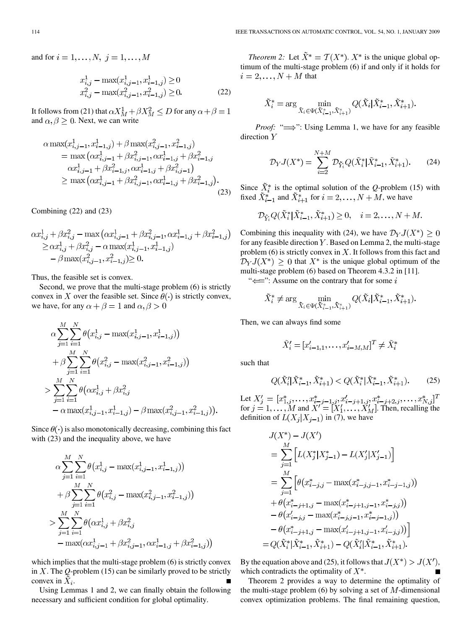and for  $i = 1, \ldots, N, j = 1, \ldots, M$ 

$$
x_{i,j}^1 - \max(x_{i,j-1}^1, x_{i-1,j}^1) \ge 0
$$
  

$$
x_{i,j}^2 - \max(x_{i,j-1}^2, x_{i-1,j}^2) \ge 0.
$$
 (22)

It follows from (21) that  $\alpha X_M^1 + \beta X_M^2 \le D$  for any  $\alpha + \beta = 1$ and  $\alpha, \beta \geq 0$ . Next, we can write

$$
\alpha \max(x_{i,j-1}^1, x_{i-1,j}^1) + \beta \max(x_{i,j-1}^2, x_{i-1,j}^2)
$$
  
= 
$$
\max(\alpha x_{i,j-1}^1 + \beta x_{i,j-1}^2, \alpha x_{i-1,j}^1 + \beta x_{i-1,j}^2
$$
  

$$
\alpha x_{i,j-1}^1 + \beta x_{i-1,j}^2, \alpha x_{i-1,j}^1 + \beta x_{i,j-1}^2)
$$
  

$$
\ge \max(\alpha x_{i,j-1}^1 + \beta x_{i,j-1}^2, \alpha x_{i-1,j}^1 + \beta x_{i-1,j}^2).
$$
 (23)

Combining (22) and (23)

$$
\alpha x_{i,j}^1 + \beta x_{i,j}^2 - \max(\alpha x_{i,j-1}^1 + \beta x_{i,j-1}^2, \alpha x_{i-1,j}^1 + \beta x_{i-1,j}^2)
$$
  
\n
$$
\geq \alpha x_{i,j}^1 + \beta x_{i,j}^2 - \alpha \max(x_{i,j-1}^1, x_{i-1,j}^1)
$$
  
\n
$$
- \beta \max(x_{i,j-1}^2, x_{i-1,j}^2) \geq 0.
$$

Thus, the feasible set is convex.

Second, we prove that the multi-stage problem (6) is strictly convex in X over the feasible set. Since  $\theta(\cdot)$  is strictly convex, we have, for any  $\alpha + \beta = 1$  and  $\alpha, \beta > 0$ 

$$
\alpha \sum_{j=1}^{M} \sum_{i=1}^{N} \theta(x_{i,j}^1 - \max(x_{i,j-1}^1, x_{i-1,j}^1))
$$
  
+  $\beta \sum_{j=1}^{M} \sum_{i=1}^{N} \theta(x_{i,j}^2 - \max(x_{i,j-1}^2, x_{i-1,j}^2))$   
>  $\sum_{j=1}^{M} \sum_{i=1}^{N} \theta(\alpha x_{i,j}^1 + \beta x_{i,j}^2 - \alpha \max(x_{i,j-1}^1, x_{i-1,j}^1)) - \beta \max(x_{i,j-1}^2, x_{i-1,j}^2))$ 

Since  $\theta(\cdot)$  is also monotonically decreasing, combining this fact with (23) and the inequality above, we have

$$
\alpha \sum_{j=1}^{M} \sum_{i=1}^{N} \theta(x_{i,j}^1 - \max(x_{i,j-1}^1, x_{i-1,j}^1))
$$
  
+  $\beta \sum_{j=1}^{M} \sum_{i=1}^{N} \theta(x_{i,j}^2 - \max(x_{i,j-1}^2, x_{i-1,j}^2))$   
>  $\sum_{j=1}^{M} \sum_{i=1}^{N} \theta(\alpha x_{i,j}^1 + \beta x_{i,j}^2 + \beta x_{i-1,j}^2 + \beta x_{i-1,j}^2)$ 

which implies that the multi-stage problem (6) is strictly convex in  $X$ . The  $Q$ -problem (15) can be similarly proved to be strictly convex in  $X_i$ .

Using Lemmas 1 and 2, we can finally obtain the following necessary and sufficient condition for global optimality.

*Theorem 2:* Let  $\tilde{X}^* = \mathcal{T}(X^*)$ .  $X^*$  is the unique global optimum of the multi-stage problem (6) if and only if it holds for  $i=2,\ldots,N+M$  that

$$
\tilde{X}_{i}^{*} = \arg\min_{\tilde{X}_{i} \in \Psi(\tilde{X}_{i-1}^{*}, \tilde{X}_{i+1}^{*})} Q(\tilde{X}_{i} | \tilde{X}_{i-1}^{*}, \tilde{X}_{i+1}^{*}).
$$

*Proof:* " $\implies$ ": Using Lemma 1, we have for any feasible direction  $Y$ 

$$
\mathcal{D}_Y J(X^*) = \sum_{i=2}^{N+M} \mathcal{D}_{\tilde{Y}_i} Q(\tilde{X}_i^* | \tilde{X}_{i-1}^*, \tilde{X}_{i+1}^*). \tag{24}
$$

Since  $X_i^*$  is the optimal solution of the *Q*-problem (15) with fixed  $X_{i-1}^*$  and  $X_{i+1}^*$  for  $i = 2, \ldots, N + M$ , we have

$$
D_{\tilde{Y}_i} Q(\tilde{X}_i^* | \tilde{X}_{i-1}^*, \tilde{X}_{i+1}^*) \ge 0, \quad i = 2, \dots, N + M.
$$

Combining this inequality with (24), we have  $\mathcal{D}_Y J(X^*) \geq 0$ for any feasible direction  $Y$ . Based on Lemma 2, the multi-stage problem (6) is strictly convex in  $X$ . It follows from this fact and  $\mathcal{D}_Y J(X^*)$  > 0 that  $X^*$  is the unique global optimum of the multi-stage problem (6) based on Theorem 4.3.2 in [11].

" $\Longleftarrow$ ": Assume on the contrary that for some i

$$
\tilde{X}_i^* \neq \arg \min_{\tilde{X}_i \in \Psi(\tilde{X}_{i-1}^*, \tilde{X}_{i+1}^*)} Q(\tilde{X}_i | \tilde{X}_{i-1}^*, \tilde{X}_{i+1}^*).
$$

Then, we can always find some

$$
\tilde{X}'_i = [x'_{i-1,1}, \dots, x'_{i-M,M}]^T \neq \tilde{X}_i^*
$$

such that

$$
Q(\tilde{X}'_i | \tilde{X}^*_{i-1}, \tilde{X}^*_{i+1}) < Q(\tilde{X}^*_i | \tilde{X}^*_{i-1}, \tilde{X}^*_{i+1}).\tag{25}
$$

Let for  $j = 1, \ldots, M$  and  $X' = [X'_1, \ldots, X'_M]$ . Then, recalling the definition of  $L(X_i | X_{i-1})$  in (7), we have

$$
J(X^*) - J(X')
$$
  
=  $\sum_{j=1}^M \left[ L(X_j^* | X_{j-1}^*) - L(X_j'|X_{j-1}') \right]$   
=  $\sum_{j=1}^M \left[ \theta(x_{i-j,j}^* - \max(x_{i-j,j-1}^*, x_{i-j-1,j}^*)) + \theta(x_{i-j+1,j}^* - \max(x_{i-j+1,j-1}^*, x_{i-j,j}^*)) - \theta(x_{i-j,j}^* - \max(x_{i-j,j-1}^*, x_{i-j-1,j}^*)) - \theta(x_{i-j+1,j}^* - \max(x_{i-j+1,j-1}^*, x_{i-j,j}^*)) \right]$   
=  $Q(\tilde{X}_i^* | \tilde{X}_{i-1}^*, \tilde{X}_{i+1}^*) - Q(\tilde{X}_i' | \tilde{X}_{i-1}^*, \tilde{X}_{i+1}^*)$ .

By the equation above and (25), it follows that  $J(X^*) > J(X')$ , which contradicts the optimality of  $X^*$ .

Theorem 2 provides a way to determine the optimality of the multi-stage problem (6) by solving a set of  $M$ -dimensional convex optimization problems. The final remaining question,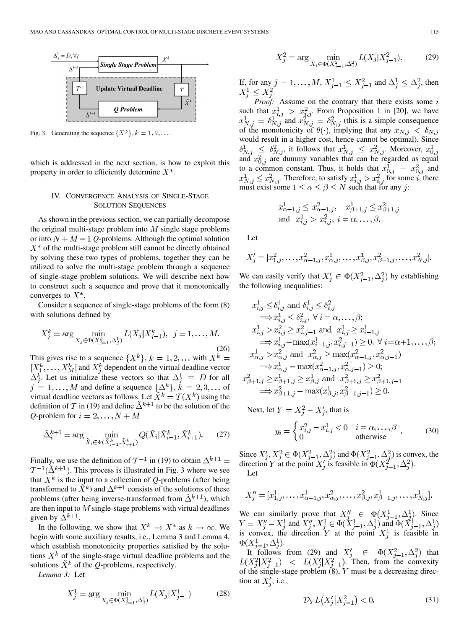

Fig. 3. Generating the sequence  $\{X^k\}, k = 1, 2, \ldots$ 

which is addressed in the next section, is how to exploit this property in order to efficiently determine  $X^*$ .

## IV. CONVERGENCE ANALYSIS OF SINGLE-STAGE SOLUTION SEQUENCES

As shown in the previous section, we can partially decompose the original multi-stage problem into  $M$  single stage problems or into  $N + M - 1$  Q-problems. Although the optimal solution  $X^*$  of the multi-stage problem still cannot be directly obtained by solving these two types of problems, together they can be utilized to solve the multi-stage problem through a sequence of single-stage problem solutions. We will describe next how to construct such a sequence and prove that it monotonically converges to  $X^*$ .

Consider a sequence of single-stage problems of the form (8) with solutions defined by

$$
X_j^k = \arg\min_{X_j \in \Phi(X_{j-1}^k, \Delta_j^k)} L(X_j | X_{j-1}^k), \ \ j = 1, \dots, M. \tag{26}
$$

This gives rise to a sequence  $\{X^k\}, k = 1, 2, \dots$  with  $X^k =$  $[X_1^k, \ldots, X_M^k]$  and  $X_i^k$  dependent on the virtual deadline vector  $\Delta_i^k$ . Let us initialize these vectors so that  $\Delta_i^1 = D$  for all and define a sequence  $\{\Delta^k\}, k = 2, 3, \dots$  of virtual deadline vectors as follows. Let  $X^k = \mathcal{T}(X^k)$  using the definition of T in (19) and define  $\tilde{\Delta}^{k+1}$  to be the solution of the *Q*-problem for  $i = 2, ..., N + M$ 

$$
\tilde{\Delta}_{i}^{k+1} = \arg \min_{\tilde{X}_{i} \in \Psi(\tilde{X}_{i-1}^{k}, \tilde{X}_{i+1}^{k})} Q(\tilde{X}_{i} | \tilde{X}_{i-1}^{k}, \tilde{X}_{i+1}^{k}).
$$
 (27)

Finally, we use the definition of  $\mathcal{T}^{-1}$  in (19) to obtain  $\Delta^{k+1}$  =  $T^{-1}(\tilde{\Delta}^{k+1})$ . This process is illustrated in Fig. 3 where we see that  $X^k$  is the input to a collection of *Q*-problems (after being transformed to  $\tilde{X}^k$ ) and  $\Delta^{k+1}$  consists of the solutions of these problems (after being inverse-transformed from  $\tilde{\Delta}^{k+1}$ ), which are then input to  $M$  single-stage problems with virtual deadlines given by  $\Delta^{k+1}$ .

In the following, we show that  $X^k \to X^*$  as  $k \to \infty$ . We begin with some auxiliary results, i.e., Lemma 3 and Lemma 4, which establish monotonicity properties satisfied by the solutions  $X<sup>k</sup>$  of the single-stage virtual deadline problems and the solutions  $\tilde{X}^k$  of the *Q*-problems, respectively.

*Lemma 3:* Let

$$
X_j^1 = \arg\min_{X_j \in \Phi(X_{j-1}^1, \Delta_j^1)} L(X_j | X_{j-1}^1)
$$
 (28)

$$
X_j^2 = \arg\min_{X_j \in \Phi(X_{j-1}^2, \Delta_j^2)} L(X_j | X_{j-1}^2). \tag{29}
$$

If, for any  $j = 1, ..., M$ ,  $X_{j-1}^1 \leq X_{j-1}^2$  and  $\Delta_j^1 \leq \Delta_j^2$ , then  $X_i^1 \leq X_i^2$ .

*Proof:* Assume on the contrary that there exists some i such that  $x_{i,j}^1 > x_{i,j}^2$ . From Proposition 1 in [20], we have and  $x_{N,i}^2 = \delta_{N,i}^2$  (this is a simple consequence of the monotonicity of  $\theta(\cdot)$ , implying that any would result in a higher cost, hence cannot be optimal). Since , it follows that  $x_{N,i}^1 \leq x_{N,i}^2$ . Moreover, and  $x_{0,i}^2$  are dummy variables that can be regarded as equal to a common constant. Thus, it holds that  $x_{0,i}^1 = x_{0,i}^2$  and . Therefore, to satisfy  $x_{i,j}^1 > x_{i,j}^2$  for some *i*, there must exist some  $1 \leq \alpha \leq \beta \leq N$  such that for any j:

$$
x_{\alpha-1,j}^1 \leq x_{\alpha-1,j}^2
$$
,  $x_{\beta+1,j}^1 \leq x_{\beta+1,j}^2$   
and  $x_{i,j}^1 > x_{i,j}^2$ ,  $i = \alpha, \dots, \beta$ .

Let

$$
X'_{j} = [x_{1,j}^{2}, \dots, x_{\alpha-1,j}^{2}, x_{\alpha,j}^{1}, \dots, x_{\beta,j}^{1}, x_{\beta+1,j}^{2}, \dots, x_{N,j}^{2}].
$$

We can easily verify that  $X'_i \in \Phi(X_{i-1}^2, \Delta_i^2)$  by establishing the following inequalities:

$$
x_{i,j}^1 \leq \delta_{i,j}^1 \text{ and } \delta_{i,j}^1 \leq \delta_{i,j}^2
$$
  
\n
$$
\implies x_{i,j}^1 \leq \delta_{i,j}^2, \forall i = \alpha, \dots, \beta;
$$
  
\n
$$
x_{i,j}^1 > x_{i,j}^2 \geq x_{i,j-1}^2 \text{ and } x_{i,j}^1 \geq x_{i-1,j}^1
$$
  
\n
$$
\implies x_{i,j}^1 - \max(x_{i-1,j}^1, x_{i,j-1}^2) \geq 0, \forall i = \alpha+1, \dots, \beta;
$$
  
\n
$$
x_{\alpha,j}^1 > x_{\alpha,j}^2 \text{ and } x_{\alpha,j}^2 \geq \max(x_{\alpha-1,j}^2, x_{\alpha,j-1}^2)
$$
  
\n
$$
\implies x_{\alpha,j}^1 - \max(x_{\alpha-1,j}^2, x_{\alpha,j-1}^2) \geq 0;
$$
  
\n
$$
x_{\beta+1,j}^2 \geq x_{\beta+1,j}^1 \geq x_{\beta,j}^1 \text{ and } x_{\beta+1,j}^2 \geq x_{\beta+1,j-1}^2
$$
  
\n
$$
\implies x_{\beta+1,j}^2 - \max(x_{\beta,j}^1, x_{\beta+1,j-1}^2) \geq 0.
$$

Next, let  $Y = X_i^2 - X_i'$ , that is

$$
y_i = \begin{cases} x_{i,j}^2 - x_{i,j}^1 < 0 & i = \alpha, \dots, \beta \\ 0 & \text{otherwise} \end{cases} \tag{30}
$$

Since  $X'_i, X^2_i \in \Phi(X^2_{i-1}, \Delta^2_i)$  and  $\Phi(X^2_{i-1}, \Delta^2_i)$  is convex, the direction Y at the point  $X'_i$  is feasible in  $\Phi(X_{i-1}^2, \Delta_i^2)$ . Let

$$
X''_j = [x^1_{1,j}, \dots, x^1_{\alpha-1,j}, x^2_{\alpha,j}, \dots, x^2_{\beta,j}, x^1_{\beta+1,j}, \dots, x^1_{N,j}].
$$

We can similarly prove that  $X''_i \in \Phi(X^1_{i-1}, \Delta^1_i)$ . Since and  $X''_i, X^1_i \in \Phi(X^1_{i-1}, \Delta^1_i)$  and is convex, the direction Y at the point  $X_i^1$  is feasible in  $\Phi(X_{j-1}^1, \Delta_j^1)$ .

It follows from (29) and  $X'_i \in \Phi(X_{i-1}^2, \Delta_i^2)$  that . Then, from the convexity of the single-stage problem  $(8)$ , Y must be a decreasing direction at  $X'_i$ , i.e.,

$$
\mathcal{D}_Y L\big(X'_j \big| X^2_{j-1}\big) < 0. \tag{31}
$$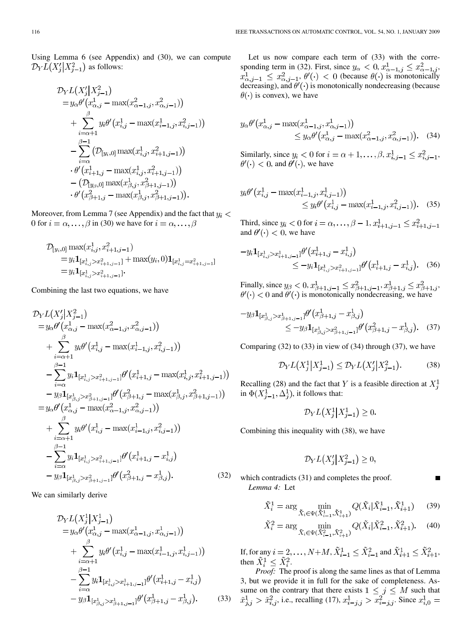Using Lemma 6 (see Appendix) and (30), we can compute  $\mathcal{D}_Y L(X_i | X_{i-1}^2)$  as follows:

$$
\mathcal{D}_{Y}L(X_{j}'|X_{j-1}^{2})
$$
\n
$$
= y_{\alpha}\theta'(x_{\alpha,j}^{1} - \max(x_{\alpha-1,j}^{2}, x_{\alpha,j-1}^{2}))
$$
\n
$$
+ \sum_{i=\alpha+1}^{\beta} y_{i}\theta'(x_{i,j}^{1} - \max(x_{i-1,j}^{1}, x_{i,j-1}^{2}))
$$
\n
$$
- \sum_{i=\alpha}^{\beta-1} (\mathcal{D}_{[y_{i},0]} \max(x_{i,j}^{1}, x_{i+1,j-1}^{2}))
$$
\n
$$
\cdot \theta'(x_{i+1,j}^{1} - \max(x_{i,j}^{1}, x_{i+1,j-1}^{2}))
$$
\n
$$
- (\mathcal{D}_{[y_{\beta},0]} \max(x_{\beta,j}^{1}, x_{\beta+1,j-1}^{2}))
$$
\n
$$
\cdot \theta'(x_{\beta+1,j}^{2} - \max(x_{\beta,j}^{1}, x_{\beta+1,j-1}^{2})).
$$

Moreover, from Lemma 7 (see Appendix) and the fact that  $y_i$  < 0 for  $i = \alpha, \dots, \beta$  in (30) we have for  $i = \alpha, \dots, \beta$ 

$$
\begin{aligned} \mathcal{D}_{[y_i,0]} \max(x_{i,j}^1, x_{i+1,j-1}^2) \\ &= y_i \mathbf{1}_{[x_{i,j}^1 > x_{i+1,j-1}^2]} + \max(y_i, 0) \mathbf{1}_{[x_{i,j}^1 = x_{i+1,j-1}^2]} \\ &= y_i \mathbf{1}_{[x_{i,j}^1 > x_{i+1,j-1}^2]}. \end{aligned}
$$

Combining the last two equations, we have

$$
D_{Y}L(X'_{j}|X^{2}_{j-1})
$$
\n
$$
= y_{\alpha}\theta'(x^{1}_{\alpha,j} - \max(x^{2}_{\alpha-1,j}, x^{2}_{\alpha,j-1}))
$$
\n
$$
+ \sum_{i=\alpha+1}^{\beta} y_{i}\theta'(x^{1}_{i,j} - \max(x^{1}_{i-1,j}, x^{2}_{i,j-1}))
$$
\n
$$
- \sum_{i=\alpha}^{\beta-1} y_{i}1_{[x^{1}_{i,j} > x^{2}_{i+1,j-1}]} \theta'(x^{1}_{i+1,j} - \max(x^{1}_{i,j}, x^{2}_{i+1,j-1}))
$$
\n
$$
- y_{\beta}1_{[x^{1}_{\beta,j} > x^{2}_{\beta+1,j-1}]} \theta'(x^{2}_{\beta+1,j} - \max(x^{1}_{\beta,j}, x^{2}_{\beta+1,j-1}))
$$
\n
$$
= y_{\alpha}\theta'(x^{1}_{\alpha,j} - \max(x^{2}_{\alpha-1,j}, x^{2}_{\alpha,j-1}))
$$
\n
$$
+ \sum_{i=\alpha+1}^{\beta} y_{i}\theta'(x^{1}_{i,j} - \max(x^{1}_{i-1,j}, x^{2}_{i,j-1}))
$$
\n
$$
- \sum_{i=\alpha}^{\beta-1} y_{i}1_{[x^{1}_{i,j} > x^{2}_{i+1,j-1}]} \theta'(x^{1}_{i+1,j} - x^{1}_{i,j})
$$
\n
$$
- y_{\beta}1_{[x^{1}_{\beta,j} > x^{2}_{\beta+1,j-1}]} \theta'(x^{2}_{\beta+1,j} - x^{1}_{\beta,j}). \qquad (32)
$$

We can similarly derive

$$
\mathcal{D}_{Y}L(X_{j}^{1}|X_{j-1}^{1})
$$
\n
$$
= y_{\alpha}\theta'(x_{\alpha,j}^{1} - \max(x_{\alpha-1,j}^{1}, x_{\alpha,j-1}^{1}))
$$
\n
$$
+ \sum_{i=\alpha+1}^{\beta} y_{i}\theta'(x_{i,j}^{1} - \max(x_{i-1,j}^{1}, x_{i,j-1}^{1}))
$$
\n
$$
- \sum_{i=\alpha}^{\beta-1} y_{i}\mathbf{1}_{[x_{i,j}^{1} > x_{i+1,j-1}^{1}]} \theta'(x_{i+1,j}^{1} - x_{i,j}^{1})
$$
\n
$$
- y_{\beta}\mathbf{1}_{[x_{\beta,j}^{1} > x_{\beta+1,j-1}^{1}]} \theta'(x_{\beta+1,j}^{1} - x_{\beta,j}^{1}).
$$
\n(33)

Let us now compare each term of (33) with the corresponding term in (32). First, since  $y_{\alpha} < 0$ ,  $x_{\alpha-1,j}^1 \leq x_{\alpha-1,j}^2$ , ,  $\theta'(\cdot)$  < 0 (because  $\theta(\cdot)$  is monotonically decreasing), and  $\theta'(\cdot)$  is monotonically nondecreasing (because  $\theta(\cdot)$  is convex), we have

$$
y_{\alpha} \theta'(x_{\alpha,j}^1 - \max(x_{\alpha-1,j}^1, x_{\alpha,j-1}^1))
$$
  
\$\leq y\_{\alpha} \theta'(x\_{\alpha,j}^1 - \max(x\_{\alpha-1,j}^2, x\_{\alpha,j-1}^2)).\$ (34)

Similarly, since  $y_i < 0$  for  $i = \alpha + 1, \ldots, \beta, x_{i,j-1}^1 \leq x_{i,j-1}^2$ ,  $\theta'(\cdot)$  < 0, and  $\theta'(\cdot)$ , we have

$$
y_i \theta'(x_{i,j}^1 - \max(x_{i-1,j}^1, x_{i,j-1}^1))
$$
  
 
$$
\leq y_i \theta'(x_{i,j}^1 - \max(x_{i-1,j}^1, x_{i,j-1}^2)).
$$
 (35)

Third, since  $y_i < 0$  for  $i = \alpha, \dots, \beta - 1, x_{i+1, i-1}^1 \leq x_{i+1, i-1}^2$ and  $\theta'(\cdot) < 0$ , we have

$$
-y_i \mathbf{1}_{[x_{i,j}^1 > x_{i+1,j-1}^1]} \theta'(x_{i+1,j}^1 - x_{i,j}^1)
$$
  
\n
$$
\leq -y_i \mathbf{1}_{[x_{i,j}^1 > x_{i+1,j-1}^2]} \theta'(x_{i+1,j}^1 - x_{i,j}^1).
$$
 (36)

Finally, since  $y_{\beta} < 0, x_{\beta+1,j-1}^1 \leq x_{\beta+1,j-1}^2, x_{\beta+1,j}^1 \leq x_{\beta+1,j}^2$ and  $\theta'(\cdot)$  is monotonically nondecreasing, we have

$$
-y_{\beta} \mathbf{1}_{[x_{\beta,j}^1 > x_{\beta+1,j-1}^1]} \theta'(x_{\beta+1,j}^1 - x_{\beta,j}^1) \n\leq -y_{\beta} \mathbf{1}_{[x_{\beta,j}^1 > x_{\beta+1,j-1}^2]} \theta'(x_{\beta+1,j}^2 - x_{\beta,j}^1).
$$
 (37)

Comparing (32) to (33) in view of (34) through (37), we have

$$
\mathcal{D}_Y L(X_j^1 | X_{j-1}^1) \le \mathcal{D}_Y L(X_j' | X_{j-1}^2). \tag{38}
$$

Recalling (28) and the fact that Y is a feasible direction at  $X_i^1$ in  $\Phi(X_{i-1}^1, \Delta_i^1)$ , it follows that:

$$
\mathcal{D}_Y L\big(X^1_j \big| X^1_{j-1}\big) \geq 0.
$$

Combining this inequality with (38), we have

$$
\mathcal{D}_Y L\big(X_j'|X_{j-1}^2\big) \ge 0,
$$

which contradicts (31) and completes the proof. *Lemma 4:* Let

$$
\tilde{X}_i^1 = \arg \min_{\tilde{X}_i \in \Psi(\tilde{X}_{i-1}^1, \tilde{X}_{i+1}^1)} Q(\tilde{X}_i | \tilde{X}_{i-1}^1, \tilde{X}_{i+1}^1) \tag{39}
$$

$$
\tilde{X}_i^2 = \arg\min_{\tilde{X}_i \in \Psi(\tilde{X}_{i-1}^2, \tilde{X}_{i+1}^2)} Q(\tilde{X}_i | \tilde{X}_{i-1}^2, \tilde{X}_{i+1}^2). \tag{40}
$$

If, for any  $i = 2, ..., N+M$ ,  $\tilde{X}_{i-1}^1 \leq \tilde{X}_{i-1}^2$  and  $\tilde{X}_{i+1}^1 \leq \tilde{X}_{i+1}^2$ , then  $\tilde{X}_i^1 \leq \tilde{X}_i^2$ .

*Proof:* The proof is along the same lines as that of Lemma 3, but we provide it in full for the sake of completeness. Assume on the contrary that there exists  $1 \leq j \leq M$  such that , i.e., recalling (17),  $x_{i-i,j}^1 > x_{i-j,j}^2$ . Since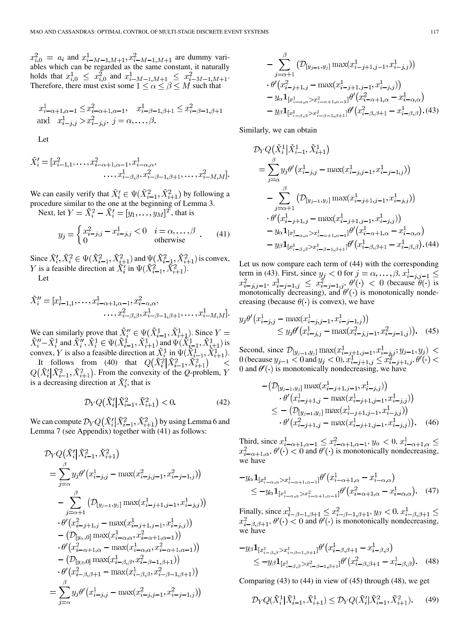and  $x_{i-M-1,M+1}^1, x_{i-M-1,M+1}^2$  are dummy variables which can be regarded as the same constant, it naturally holds that  $x_{i,0}^1 \leq x_{i,0}^2$  and  $x_{i-M-1,M+1}^1 \leq x_{i-M-1,M+1}^2$ . Therefore, there must exist some  $1 \leq \alpha \leq \beta \leq M$  such that

$$
x_{i-\alpha+1,\alpha-1}^1 \le x_{i-\alpha+1,\alpha-1}^2
$$
,  $x_{i-\beta-1,\beta+1}^1 \le x_{i-\beta-1,\beta+1}^2$   
and  $x_{i-j,j}^1 > x_{i-j,j}^2$ ,  $j = \alpha, \ldots, \beta$ .

Let

$$
\tilde{X}'_i = [x_{i-1,1}^2, \dots, x_{i-\alpha+1,\alpha-1}^2, x_{i-\alpha,\alpha}^1, \dots, x_{i-\beta,\beta}^1, x_{i-\beta-1,\beta+1}^2, \dots, x_{i-M,M}^2].
$$

We can easily verify that  $X'_i \in \Psi(X_{i-1}^2, X_{i+1}^2)$  by following a procedure similar to the one at the beginning of Lemma 3.

Next, let  $Y = \tilde{X}_i^2 - \tilde{X}_i' = [y_1, \ldots, y_M]^T$ , that is

$$
y_j = \begin{cases} x_{i-j,j}^2 - x_{i-j,j}^1 < 0 & i = \alpha, \dots, \beta \\ 0 & \text{otherwise} \end{cases} \tag{41}
$$

Since  $X'_i, X^2_i \in \Psi(X^2_{i-1}, X^2_{i+1})$  and  $\Psi(X^2_{i-1}, X^2_{i+1})$  is convex, is a feasible direction at  $X'_i$  in  $\Psi(X_{i-1}^2, X_{i+1}^2)$ . Let

$$
\tilde{X}'_i = [x_{i-1,1}^1, \dots, x_{i-\alpha+1,\alpha-1}^1, x_{i-\alpha,\alpha}^2, \dots, x_{i-\beta,\beta}^2, x_{i-\beta-1,\beta+1}^1, \dots, x_{i-M,M}^1].
$$

We can similarly prove that  $X_i'' \in \Psi(X_{i-1}^1, X_{i+1}^1)$ . Since and  $X''_i, X^1_i \in \Psi(X^1_{i-1}, X^1_{i+1})$  and  $\Psi(X^1_{i-1}, X^1_{i+1})$  is convex, Y is also a feasible direction at  $X_i^1$  in  $\Psi(X_{i-1}^1, X_{i+1}^1)$ .

It follows from (40) that  $Q(\tilde{X}_i^2 | \tilde{X}_{i-1}^2, \tilde{X}_{i+1}^2)$  $\,<$  $Q(\tilde{X}_{i}^{\prime}|\tilde{X}_{i-1}^{2}, \tilde{X}_{i+1}^{2})$ . From the convexity of the *Q*-problem, *Y* is a decreasing direction at  $\tilde{X}'_i$ , that is

$$
\mathcal{D}_Y Q\big(\tilde{X}'_i \big|\tilde{X}_{i-1}^2, \tilde{X}_{i+1}^2\big) < 0. \tag{42}
$$

We can compute  $\mathcal{D}_Y Q(\tilde{X}_i' | \tilde{X}_{i-1}^2, \tilde{X}_{i+1}^2)$  by using Lemma 6 and Lemma 7 (see Appendix) together with (41) as follows:

$$
\begin{split} & \mathcal{D}_{Y}Q\big(\tilde{X}_{i}^{\prime}\big|\tilde{X}_{i-1}^{2},\tilde{X}_{i+1}^{2}\big) \\ & =\sum_{j=\alpha}^{\beta}y_{j}\theta^{\prime}\big(x_{i-j,j}^{1}-\max(x_{i-j,j-1}^{2},x_{i-j-1,j}^{2})\big) \\ & -\sum_{j=\alpha+1}^{\beta}\big(\mathcal{D}_{[y_{j-1},y_{j}]}\max(x_{i-j+1,j-1}^{1},x_{i-j,j}^{1})\big) \\ & \cdot\theta^{\prime}\big(x_{i-j+1,j}^{2}-\max(x_{i-j+1,j-1}^{1},x_{i-j,j}^{1})\big) \\ & -\big(\mathcal{D}_{[y_{\alpha},0]}\max(x_{i-\alpha,\alpha}^{1},x_{i-\alpha+1,\alpha-1}^{2})\big) \\ & \cdot\theta^{\prime}\big(x_{i-\alpha+1,\alpha}^{2}-\max(x_{i-\alpha,\alpha}^{1},x_{i-\alpha+1,\alpha-1}^{2})\big) \\ & -\big(\mathcal{D}_{[y_{\beta},0]}\max(x_{i-\beta,\beta}^{1},x_{i-\beta-1,\beta+1}^{2})\big) \\ & \cdot\theta^{\prime}\big(x_{i-\beta,\beta+1}^{2}-\max(x_{i-\beta,\beta}^{1},x_{i-\beta-1,\beta+1}^{2})\big) \\ & =\sum_{j=\alpha}^{\beta}y_{j}\theta^{\prime}\big(x_{i-j,j}^{1}-\max(x_{i-j,j-1}^{2},x_{i-j-1,j}^{2})\big) \end{split}
$$

$$
- \sum_{j=\alpha+1}^{\beta} \left( \mathcal{D}_{[y_{j-1}, y_j]} \max(x_{i-j+1,j-1}^1, x_{i-j,j}^1) \right)
$$
  
\n
$$
\cdot \theta'(x_{i-j+1,j}^2 - \max(x_{i-j+1,j-1}^1, x_{i-j,j}^1))
$$
  
\n
$$
- y_{\alpha} \mathbf{1}_{[x_{i-\alpha,\alpha}^1 > x_{i-\alpha+1,\alpha-1}^1]} \theta'(x_{i-\alpha+1,\alpha}^2 - x_{i-\alpha,\alpha}^1)
$$
  
\n
$$
- y_{\beta} \mathbf{1}_{[x_{i-\beta,\beta}^1 > x_{i-\beta-1,\beta+1}^2]} \theta'(x_{i-\beta,\beta+1}^2 - x_{i-\beta,\beta}^1). (43)
$$

Similarly, we can obtain

$$
\mathcal{D}_{Y} Q\big(\tilde{X}_{i}^{1} | \tilde{X}_{i-1}^{1}, \tilde{X}_{i+1}^{1}\big) \n= \sum_{j=\alpha}^{\beta} y_{j} \theta'(x_{i-j,j}^{1} - \max(x_{i-j,j-1}^{1}, x_{i-j-1,j}^{1})) \n- \sum_{j=\alpha+1}^{\beta} \big( \mathcal{D}_{[y_{j-1}, y_{j}]} \max(x_{i-j+1,j-1}^{1}, x_{i-j,j}^{1}) \big) \n\cdot \theta'(x_{i-j+1,j}^{1} - \max(x_{i-j+1,j-1}^{1}, x_{i-j,j}^{1})) \n- y_{\alpha} \mathbf{1}_{[x_{i-\alpha,\alpha}^{1} > x_{i-\alpha+1,\alpha-1}^{1}]} \theta'(x_{i-\alpha+1,\alpha}^{1} - x_{i-\alpha,\alpha}^{1}) \n- y_{\beta} \mathbf{1}_{[x_{i-\beta,\beta}^{1} > x_{i-\beta-1,\beta+1}^{1}]} \theta'(x_{i-\beta,\beta+1}^{1} - x_{i-\beta,\beta}^{1}).
$$
\n(44)

Let us now compare each term of (44) with the corresponding term in (43). First, since  $y_j < 0$  for  $j = \alpha, \dots, \beta$ , ,  $x_{i-j-1,j}^1 \leq x_{i-j-1,j}^2$ ,  $\theta'(\cdot) < 0$  (because  $\theta(\cdot)$  is monotonically decreasing), and  $\theta'(\cdot)$  is monotonically nondecreasing (because  $\theta(\cdot)$  is convex), we have

$$
y_j \theta' \left( x_{i-j,j}^1 - \max(x_{i-j,j-1}^1, x_{i-j-1,j}^1) \right) \le y_j \theta' \left( x_{i-j,j}^1 - \max(x_{i-j,j-1}^2, x_{i-j-1,j}^2) \right). \tag{45}
$$

Second, since (because  $y_{i-1} < 0$  and  $y_i < 0$ ),  $x_{i-i+1,i}^1 \le x_{i-i+1,i}^2$ , 0 and  $\theta'(\cdot)$  is monotonically nondecreasing, we have

$$
-(\mathcal{D}_{[y_{j-1}, y_j]} \max(x_{i-j+1,j-1}^1, x_{i-j,j}^1))
$$
  
\n
$$
\cdot \theta'(x_{i-j+1,j}^1 - \max(x_{i-j+1,j-1}^1, x_{i-j,j}^1))
$$
  
\n
$$
\leq -(\mathcal{D}_{[y_{j-1}, y_j]} \max(x_{i-j+1,j-1}^1, x_{i-j,j}^1))
$$
  
\n
$$
\cdot \theta'(x_{i-j+1,j}^2 - \max(x_{i-j+1,j-1}^1, x_{i-j,j}^1)).
$$
 (46)

Third, since  $x_{i-\alpha+1,\alpha-1}^1 \leq x_{i-\alpha+1,\alpha-1}^2, y_\alpha < 0$ , ,  $\theta'(\cdot)$  < 0 and  $\theta'(\cdot)$  is monotonically nondecreasing, we have

$$
-y_{\alpha} \mathbf{1}_{[x_{i-\alpha,\alpha}^1 > x_{i-\alpha+1,\alpha-1}^1]} \theta'(x_{i-\alpha+1,\alpha}^1 - x_{i-\alpha,\alpha}^1)
$$
  
 
$$
\leq -y_{\alpha} \mathbf{1}_{[x_{i-\alpha,\alpha}^1 > x_{i-\alpha+1,\alpha-1}^1]} \theta'(x_{i-\alpha+1,\alpha}^2 - x_{i-\alpha,\alpha}^1).
$$
 (47)

Finally, since  $x_{i-\beta-1,\beta+1}^1 \leq x_{i-\beta-1,\beta+1}^2, y_{\beta} < 0$ , ,  $\theta'(\cdot) < 0$  and  $\theta'(\cdot)$  is monotonically nondecreasing, we have

$$
-y_{\beta} \mathbf{1}_{[x_{i-\beta,\beta}^1 > x_{i-\beta-1,\beta+1}^1]} \theta'(x_{i-\beta,\beta+1}^1 - x_{i-\beta,\beta}^1)
$$
  
 
$$
\leq -y_{\beta} \mathbf{1}_{[x_{i-\beta,\beta}^1 > x_{i-\beta-1,\beta+1}^1]} \theta'(x_{i-\beta,\beta+1}^2 - x_{i-\beta,\beta}^1).
$$
 (48)

Comparing  $(43)$  to  $(44)$  in view of  $(45)$  through  $(48)$ , we get

$$
\mathcal{D}_Y Q(\tilde{X}_i^1 | \tilde{X}_{i-1}^1, \tilde{X}_{i+1}^1) \le \mathcal{D}_Y Q(\tilde{X}_i' | \tilde{X}_{i-1}^2, \tilde{X}_{i+1}^2). \tag{49}
$$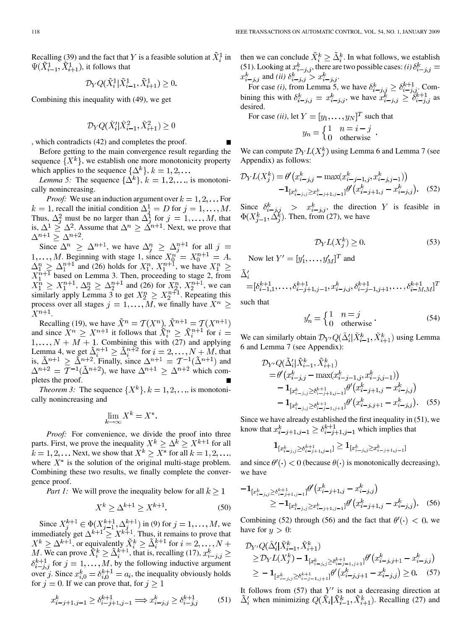Recalling (39) and the fact that Y is a feasible solution at  $\tilde{X}_i^1$  in  $\Psi(\tilde{X}_{i-1}^1, \tilde{X}_{i+1}^1)$ , it follows that

$$
\mathcal{D}_Y Q(\tilde{X}_{i}^1 | \tilde{X}_{i-1}^1, \tilde{X}_{i+1}^1) \geq 0.
$$

Combining this inequality with (49), we get

$$
\mathcal{D}_Y Q(\tilde{X}_i'|\tilde{X}_{i-1}^2,\tilde{X}_{i+1}^2) \geq 0
$$

, which contradicts (42) and completes the proof.

Before getting to the main convergence result regarding the sequence  $\{X^k\}$ , we establish one more monotonicity property which applies to the sequence  $\{\Delta^k\}, k = 1, 2, \dots$ 

*Lemma 5:* The sequence  $\{\Delta^k\}, k = 1, 2, \dots$ , is monotonically nonincreasing.

*Proof:* We use an induction argument over  $k = 1, 2, \dots$  For , recall the initial condition  $\Delta_i^1 = D$  for  $j = 1, \ldots, M$ . Thus,  $\Delta_i^2$  must be no larger than  $\Delta_i^1$  for  $j = 1, ..., M$ , that is,  $\Delta^1 \geq \Delta^2$ . Assume that  $\Delta^n \geq \Delta^{n+1}$ . Next, we prove that .

Since  $\Delta^n \geq \Delta^{n+1}$ , we have  $\Delta^n_i \geq \Delta^{n+1}_i$  for all . Beginning with stage 1, since  $X_0^n = X_0^{n+1} = A$ , and (26) holds for  $X_1^n$ ,  $X_1^{n+1}$ , we have based on Lemma 3. Then, proceeding to stage 2, from ,  $\Delta_2^n \geq \Delta_2^{n+1}$  and (26) for  $X_2^n, X_2^{n+1}$ , we can similarly apply Lemma 3 to get  $X_2^n \geq X_2^{n+1}$ . Repeating this process over all stages  $j = 1, ..., M$ , we finally have  $X^n \geq$  $X^{n+1}$ .

Recalling (19), we have  $X^n = \mathcal{T}(X^n)$ , and since  $X^n \geq X^{n+1}$  it follows that  $X_i^n \geq X_i^{n+1}$  for  $1, \ldots, N + M + 1$ . Combining this with (27) and applying Lemma 4, we get  $\Delta_i^{n+1} \geq \Delta_i^{n+2}$  for  $i = 2, \ldots, N + M$ , that is,  $\Delta^{n+1} \geq \Delta^{n+2}$ . Finally, since  $\Delta^{n+1} = \mathcal{T}^{-1}(\Delta^{n+1})$  and , we have  $\Delta^{n+1} \geq \Delta^{n+2}$  which completes the proof.

*Theorem 3:* The sequence  $\{X^k\}, k = 1, 2, \dots$ , is monotonically nonincreasing and

$$
\lim_{k \to \infty} X^k = X^*.
$$

*Proof:* For convenience, we divide the proof into three parts. First, we prove the inequality  $X^k \geq \Delta^k \geq X^{k+1}$  for all  $k = 1, 2, \dots$  Next, we show that  $X^k \geq X^*$  for all  $k = 1, 2, \dots$ where  $X^*$  is the solution of the original multi-stage problem. Combining these two results, we finally complete the convergence proof.

*Part 1:* We will prove the inequality below for all  $k \geq 1$ 

$$
X^k \ge \Delta^{k+1} \ge X^{k+1}.\tag{50}
$$

Since  $X_i^{k+1} \in \Phi(X_{i-1}^{k+1}, \Delta_i^{k+1})$  in (9) for  $j = 1, ..., M$ , we immediately get  $\Delta^{k+1} \ge X^{k+1}$ . Thus, it remains to prove that , or equivalently  $X_i^k \geq \Delta_i^{k+1}$  for . We can prove  $X_i^k \geq \Delta_i^{k+1}$ , that is, recalling (17),  $\delta_{i-j,j}^{k+1}$  for  $j=1,\ldots,M$ , by the following inductive argument over j. Since  $x_{i,0}^k = \delta_{i,0}^{k+1} = a_i$ , the inequality obviously holds for  $j = 0$ . If we can prove that, for  $j \ge 1$ 

$$
x_{i-j+1,j-1}^k \ge \delta_{i-j+1,j-1}^{k+1} \Longrightarrow x_{i-j,j}^k \ge \delta_{i-j,j}^{k+1}
$$
 (51)

then we can conclude  $\tilde{X}_i^k \geq \tilde{\Delta}_i^k$ . In what follows, we establish (51). Looking at  $x_{i-j,j}^k$ , there are two possible cases: *(i)*  $\delta_{i-j,j}^k =$ and *(ii)*  $\delta_{i-i,j}^k > x_{i-i,j}^k$ .

For case *(i)*, from Lemma 5, we have  $\delta_{i-i,j}^k \geq \delta_{i-i,j}^{k+1}$ . Combining this with  $\delta_{i-i,j}^k = x_{i-i,j}^k$ , we have  $x_{i-i,j}^k \geq \delta_{i-i,j}^{k+1}$  as desired.

For case *(ii)*, let  $Y = [y_1, \dots, y_N]^T$  such that  $y_n = \begin{cases} 1 & n = i - j \\ 0 & \text{otherwise} \end{cases}$ .

We can compute  $\mathcal{D}_Y L(X_i^k)$  using Lemma 6 and Lemma 7 (see Appendix) as follows:

$$
\mathcal{D}_{Y}L(X_{j}^{k}) = \theta'(x_{i-j,j}^{k} - \max(x_{i-j-1,j}^{k}, x_{i-j,j-1}^{k})) - \mathbf{1}_{[x_{i-j,j}^{k} \ge x_{i-j+1,j-1}^{k}]} \theta'(x_{i-j+1,j}^{k} - x_{i-j,j}^{k}). \quad (52)
$$

Since  $\delta_{i-i,j}^k > x_{i-j,j}^k$ , the direction Y is feasible in . Then, from (27), we have

$$
\mathcal{D}_Y L(X_j^k) \ge 0. \tag{53}
$$

Now let  $Y' = [y'_1, ..., y'_M]^T$  and

$$
\tilde{\Delta}'_i = [\delta^{k+1}_{i-1,1}, \dots, \delta^{k+1}_{i-j+1,j-1}, x^k_{i-j,j}, \delta^{k+1}_{i-j-1,j+1}, \dots, \delta^{k+1}_{i-M,M}]^T
$$

such that

$$
y'_n = \begin{cases} 1 & n = j \\ 0 & \text{otherwise} \end{cases} . \tag{54}
$$

We can similarly obtain  $\mathcal{D}_{Y'}Q(\tilde{\Delta}'_i|\tilde{X}^k_{i-1}, \tilde{X}^k_{i+1})$  using Lemma 6 and Lemma 7 (see Appendix):

$$
\mathcal{D}_{Y'}Q(\tilde{\Delta}'_{i}|\tilde{X}_{i-1}^k, \tilde{X}_{i+1}^k) \n= \theta'(x_{i-j,j}^k - \max(x_{i-j-1,j}^k, x_{i-j,j-1}^k)) \n- \mathbf{1}_{[x_{i-j,j}^k \ge \delta_{i-j+1,j-1}^{k+1}]} \theta'(x_{i-j+1,j}^k - x_{i-j,j}^k) \n- \mathbf{1}_{[x_{i-j,j}^k \ge \delta_{i-j-1,j+1}^{k+1}]} \theta'(x_{i-j,j+1}^k - x_{i-j,j}^k).
$$
\n(55)

Since we have already established the first inequality in (51), we know that  $x_{i-j+1,j-1}^k \geq \delta_{i-j+1,j-1}^{k+1}$  which implies that

$$
\mathbf{1}_{[x_{i-j,j}^k\geq\delta_{i-j+1,j-1}^{k+1}]} \geq \mathbf{1}_{[x_{i-j,j}^k\geq x_{i-j+1,j-1}^k]}
$$

and since  $\theta'(\cdot) < 0$  (because  $\theta(\cdot)$  is monotonically decreasing), we have

$$
-1_{[x_{i-j,j}^k \ge \delta_{i-j+1,j-1}^{k+1}]} \theta'(x_{i-j+1,j}^k - x_{i-j,j}^k)
$$
  
\n
$$
\ge -1_{[x_{i-j,j}^k \ge x_{i-j+1,j-1}^k]} \theta'(x_{i-j+1,j}^k - x_{i-j,j}^k).
$$
 (56)

Combining (52) through (56) and the fact that  $\theta'(\cdot) < 0$ , we have for  $y > 0$ :

$$
\mathcal{D}_{Y'}Q(\tilde{\Delta}'_i|\tilde{X}_{i-1}^k, \tilde{X}_{i+1}^k) \n\geq \mathcal{D}_YL(X_j^k) - \mathbf{1}_{[x_{i-j,j}^k \geq \delta_{i-j-1,j+1}^{k+1}]} \theta'(x_{i-j,j+1}^k - x_{i-j,j}^k) \n\geq -\mathbf{1}_{[x_{i-j,j}^k \geq \delta_{i-j-1,j+1}^{k+1}]} \theta'(x_{i-j,j+1}^k - x_{i-j,j}^k) \geq 0.
$$
\n(57)

It follows from  $(57)$  that  $Y'$  is not a decreasing direction at  $\tilde{\Delta}'_i$  when minimizing  $Q(\tilde{X}_i | \tilde{X}_{i-1}^k, \tilde{X}_{i+1}^k)$ . Recalling (27) and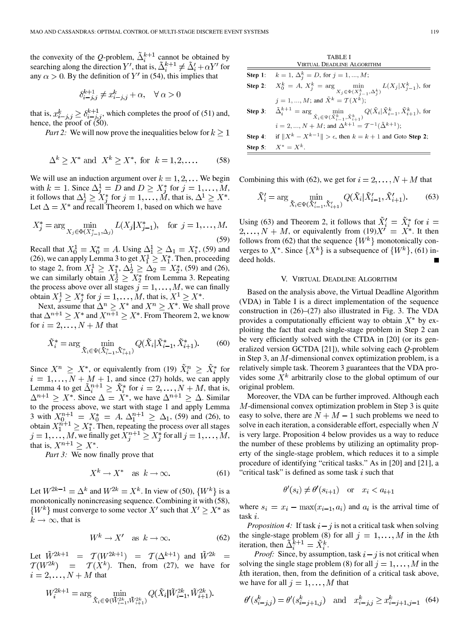the convexity of the Q-problem,  $\Delta_i^{k+1}$  cannot be obtained by searching along the direction Y', that is,  $\Delta_i^{k+1} \neq \Delta_i' + \alpha Y'$  for any  $\alpha > 0$ . By the definition of Y' in (54), this implies that

$$
\delta^{k+1}_{i-j,j} \neq x^k_{i-j,j} + \alpha, \quad \forall \alpha > 0
$$

that is,  $x_{i-i,i}^k \geq \delta_{i-i,i}^{k+1}$ , which completes the proof of (51) and, hence, the proof of (50).

*Part 2:* We will now prove the inequalities below for  $k > 1$ 

$$
\Delta^k \ge X^* \text{ and } X^k \ge X^*, \text{ for } k = 1, 2, \dots \tag{58}
$$

We will use an induction argument over  $k = 1, 2, \dots$  We begin with  $k = 1$ . Since  $\Delta_i^1 = D$  and  $D \ge X_i^*$  for  $j = 1, \ldots, M$ , it follows that  $\Delta_i^1 \geq X_i^*$  for  $j = 1, ..., M$ , that is,  $\Delta^1 \geq X^*$ . Let  $\Delta = X^*$  and recall Theorem 1, based on which we have

$$
X_j^* = \arg\min_{X_j \in \Phi(X_{j-1}^*, \Delta_j)} L(X_j | X_{j-1}^*), \text{ for } j = 1, ..., M.
$$
\n(59)

Recall that  $X_0^1 = X_0^* = A$ . Using  $\Delta_1^1 \ge \Delta_1 = X_1^*$ , (59) and (26), we can apply Lemma 3 to get  $X_1^1 \ge X_1^*$ . Then, proceeding to stage 2, from  $X_1^1 \ge X_1^*, \Delta_2^1 \ge \Delta_2 = X_2^*,$  (59) and (26), we can similarly obtain  $X_2^1 \ge X_2^*$  from Lemma 3. Repeating the process above over all stages  $j = 1, \ldots, M$ , we can finally obtain  $X_i^1 \ge X_i^*$  for  $j = 1, \ldots, M$ , that is,  $X^1 \ge X^*$ .

Next, assume that  $\Delta^n \geq X^*$  and  $X^n \geq X^*$ . We shall prove that  $\Delta^{n+1} \ge X^*$  and  $X^{n+1} \ge X^*$ . From Theorem 2, we know for  $i = 2, ..., N + M$  that

$$
\tilde{X}_i^* = \arg\min_{\tilde{X}_i \in \Psi(\tilde{X}_{i-1}^*, \tilde{X}_{i+1}^*)} Q(\tilde{X}_i | \tilde{X}_{i-1}^*, \tilde{X}_{i+1}^*). \tag{60}
$$

Since  $X^n \geq X^*$ , or equivalently from (19)  $\tilde{X}_i^n \geq \tilde{X}_i^*$  for  $i = 1, \ldots, N + M + 1$ , and since (27) holds, we can apply Lemma 4 to get  $\tilde{\Delta}_i^{n+1} \geq \tilde{X}_i^*$  for  $i = 2, ..., N + M$ , that is,  $\Delta^{n+1} \geq X^*$ . Since  $\Delta = X^*$ , we have  $\Delta^{n+1} \geq \Delta$ . Similar to the process above, we start with stage 1 and apply Lemma 3 with  $X_0^{n+1} = X_0^* = A$ ,  $\Delta_1^{n+1} \ge \Delta_1$ , (59) and (26), to obtain  $X_1^{n+1} \ge X_1^*$ . Then, repeating the process over all stages , we finally get  $X_i^{n+1} \ge X_i^*$  for all  $j = 1, \ldots, M$ , that is,  $X^{n+1} \geq X^*$ .

*Part 3:* We now finally prove that

$$
X^k \to X^* \quad \text{as } k \to \infty. \tag{61}
$$

Let  $W^{2k-1} = \Delta^k$  and  $W^{2k} = X^k$ . In view of (50),  $\{W^k\}$  is a monotonically nonincreasing sequence. Combining it with (58),  $\{W^k\}$  must converge to some vector  $X'$  such that  $X' \geq X^*$  as  $k \to \infty$ , that is

$$
W^k \to X' \quad \text{as } k \to \infty. \tag{62}
$$

Let  $\tilde{W}^{2k+1} = \mathcal{T}(W^{2k+1}) = \mathcal{T}(\Delta^{k+1})$  and  $\tilde{W}^{2k} =$  $T(W^{2k})$  =  $T(X^k)$ . Then, from (27), we have for  $i=2,\ldots,N+M$  that

$$
W_i^{2k+1} = \arg\min_{\tilde{X}_i \in \Psi(\tilde{W}_{i-1}^{2k}, \tilde{W}_{i+1}^{2k})} Q(\tilde{X}_i | \tilde{W}_{i-1}^{2k}, \tilde{W}_{i+1}^{2k}).
$$

TABLE I VIRTUAL DEADLINE ALGORITHM Step 1:  $k = 1, \Delta_i^k = D$ , for  $j = 1, ..., M$ ; **Step 2:**  $X_0^k = A$ ,  $X_j^k = \arg \min_{X_j \in \Phi(X_{j-1}^k, \Delta_j^k)} L(X_j | X_{j-1}^k)$ , for  $j = 1, ..., M$ ; and  $\tilde{X}^k = \mathcal{T}(X^k)$ ;  $\tilde{\Delta}_i^{k+1}=\arg\min_{\tilde{X}_i\in\Psi(\tilde{X}_{i-1}^k,\tilde{X}_{i+1}^k)}Q(\tilde{X}_i|\tilde{X}_{i-1}^k,\tilde{X}_{i+1}^k)\text{, for }$ Step 3:  $i = 2, ..., N + M$ ; and  $\Delta^{k+1} = \mathcal{T}^{-1}(\tilde{\Delta}^{k+1})$ ; if  $||X^k - X^{k-1}|| > \epsilon$ , then  $k = k + 1$  and Goto Step 2; Step 4: Step 5:  $X^* = X^k$ .

Combining this with (62), we get for  $i = 2, ..., N + M$  that

$$
\tilde{X}'_i = \arg\min_{\tilde{X}_i \in \Psi(\tilde{X}'_{i-1}, \tilde{X}'_{i+1})} Q(\tilde{X}_i | \tilde{X}'_{i-1}, \tilde{X}'_{i+1}).
$$
 (63)

Using (63) and Theorem 2, it follows that  $X_i' = X_i^*$  for , or equivalently from  $(19)X' = X^*$ . It then follows from (62) that the sequence  $\{W^k\}$  monotonically converges to  $X^*$ . Since  $\{X^k\}$  is a subsequence of  $\{W^k\}$ , (61) indeed holds.

## V. VIRTUAL DEADLINE ALGORITHM

Based on the analysis above, the Virtual Deadline Algorithm (VDA) in Table I is a direct implementation of the sequence construction in (26)–(27) also illustrated in Fig. 3. The VDA provides a computationally efficient way to obtain  $X^*$  by exploiting the fact that each single-stage problem in Step 2 can be very efficiently solved with the CTDA in [20] (or its generalized version GCTDA [21]), while solving each *Q*-problem in Step 3, an  $M$ -dimensional convex optimization problem, is a relatively simple task. Theorem 3 guarantees that the VDA provides some  $X^k$  arbitrarily close to the global optimum of our original problem.

Moreover, the VDA can be further improved. Although each  $M$ -dimensional convex optimization problem in Step 3 is quite easy to solve, there are  $N + M - 1$  such problems we need to solve in each iteration, a considerable effort, especially when  $N$ is very large. Proposition 4 below provides us a way to reduce the number of these problems by utilizing an optimality property of the single-stage problem, which reduces it to a simple procedure of identifying "critical tasks." As in [20] and [21], a "critical task" is defined as some task  $i$  such that

$$
\theta'(s_i) \neq \theta'(s_{i+1})
$$
 or  $x_i < a_{i+1}$ 

where  $s_i = x_i - \max(x_{i-1}, a_i)$  and  $a_i$  is the arrival time of task  $i$ .

*Proposition 4:* If task  $i - j$  is not a critical task when solving the single-stage problem (8) for all  $j = 1, \ldots, M$  in the kth iteration, then  $\tilde{\Delta}_i^{k+1} = \tilde{X}_i^k$ .

*Proof:* Since, by assumption, task  $i - j$  is not critical when solving the single stage problem (8) for all  $j = 1, ..., M$  in the  $k$ th iteration, then, from the definition of a critical task above, we have for all  $j = 1, ..., M$  that

$$
\theta'(s_{i-j,j}^k) = \theta'(s_{i-j+1,j}^k) \quad \text{and} \quad x_{i-j,j}^k \ge x_{i-j+1,j-1}^k \tag{64}
$$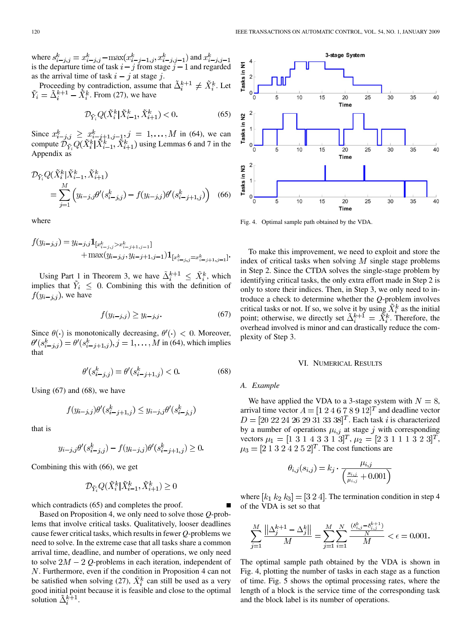where  $s_{i-i,j}^k = x_{i-i,j}^k - \max(x_{i-i-1,j}^k, x_{i-i,j-1}^k)$  and is the departure time of task  $i - j$  from stage  $j - 1$  and regarded as the arrival time of task  $i - j$  at stage j.

Proceeding by contradiction, assume that  $\Delta_i^{k+1} \neq X_i^k$ . Let . From (27), we have

$$
\mathcal{D}_{\tilde{Y}_i} Q(\tilde{X}_i^k | \tilde{X}_{i-1}^k, \tilde{X}_{i+1}^k) < 0. \tag{65}
$$

Since  $x_{i-i,j}^k \geq x_{i-j+1,j-1}^k, j = 1, ..., M$  in (64), we can compute  $\mathcal{D}_{\tilde{Y}} Q(X_i^k | X_{i-1}^k, X_{i+1}^k)$  using Lemmas 6 and 7 in the Appendix as

$$
\mathcal{D}_{\tilde{Y}_i} Q(\tilde{X}_i^k | \tilde{X}_{i-1}^k, \tilde{X}_{i+1}^k) \n= \sum_{j=1}^M \left( y_{i-j,j} \theta'(s_{i-j,j}^k) - f(y_{i-j,j}) \theta'(s_{i-j+1,j}^k) \right)
$$
\n(66)

where

$$
f(y_{i-j,j}) = y_{i-j,j} \mathbf{1}_{[x_{i-j,j}^k > x_{i-j+1,j-1}^k]}
$$
  
+ max $(y_{i-j,j}, y_{i-j+1,j-1}) \mathbf{1}_{[x_{i-j,j}^k = x_{i-j+1,j-1}^k]}$ 

Using Part 1 in Theorem 3, we have  $\tilde{\Delta}_i^{k+1} \leq \tilde{X}_i^k$ , which implies that  $\tilde{Y}_i \leq 0$ . Combining this with the definition of  $f(y_{i-j,j})$ , we have

$$
f(y_{i-j,j}) \ge y_{i-j,j}.\tag{67}
$$

Since  $\theta(\cdot)$  is monotonically decreasing,  $\theta'(\cdot) < 0$ . Moreover,  $\theta'(s_{i-j,j}^k) = \theta'(s_{i-j+1,j}^k), j = 1, ..., M$  in (64), which implies that

$$
\theta'(s_{i-j,j}^k) = \theta'(s_{i-j+1,j}^k) < 0. \tag{68}
$$

Using  $(67)$  and  $(68)$ , we have

$$
f(y_{i-j,j})\theta'(s_{i-j+1,j}^k) \le y_{i-j,j}\theta'(s_{i-j,j}^k)
$$

that is

$$
y_{i-j,j}\theta'(s_{i-j,j}^k) - f(y_{i-j,j})\theta'(s_{i-j+1,j}^k) \ge 0.
$$

Combining this with (66), we get

$$
\mathcal{D}_{\tilde{Y}_i} Q(\tilde{X}_i^k | \tilde{X}_{i-1}^k, \tilde{X}_{i+1}^k) \ge 0
$$

which contradicts (65) and completes the proof.

Based on Proposition 4, we only need to solve those *Q*-problems that involve critical tasks. Qualitatively, looser deadlines cause fewer critical tasks, which results in fewer *Q*-problems we need to solve. In the extreme case that all tasks share a common arrival time, deadline, and number of operations, we only need to solve  $2M - 2Q$ -problems in each iteration, independent of  $N$ . Furthermore, even if the condition in Proposition 4 can not be satisfied when solving (27),  $\tilde{X}_i^k$  can still be used as a very good initial point because it is feasible and close to the optimal solution  $\Delta_i^{k+1}$ .



Fig. 4. Optimal sample path obtained by the VDA.

To make this improvement, we need to exploit and store the index of critical tasks when solving  $M$  single stage problems in Step 2. Since the CTDA solves the single-stage problem by identifying critical tasks, the only extra effort made in Step 2 is only to store their indices. Then, in Step 3, we only need to introduce a check to determine whether the *Q*-problem involves critical tasks or not. If so, we solve it by using  $\tilde{X}_i^k$  as the initial point; otherwise, we directly set  $\tilde{\Delta}_i^{k+1} = \tilde{X}_i^k$ . Therefore, the overhead involved is minor and can drastically reduce the complexity of Step 3.

## VI. NUMERICAL RESULTS

#### *A. Example*

 $\theta$ 

We have applied the VDA to a 3-stage system with  $N = 8$ , arrival time vector  $A = [1 2 4 6 7 8 9 12]^T$  and deadline vector  $D = [20 22 24 26 29 31 33 38]^T$ . Each task *i* is characterized by a number of operations  $\mu_{i,j}$  at stage j with corresponding vectors  $\mu_1 = [1 \ 3 \ 1 \ 4 \ 3 \ 3 \ 1 \ 3]^T$ ,  $\mu_2 = [2 \ 3 \ 1 \ 1 \ 1 \ 3 \ 2 \ 3]^T$ ,  $\mu_3 = [2 1 3 2 4 2 5 2]^T$ . The cost functions are

$$
i,j(s_{i,j}) = k_j \cdot \frac{\mu_{i,j}}{\left(\frac{s_{i,j}}{\mu_{i,j}} + 0.001\right)}
$$

where  $[k_1 \, k_2 \, k_3] = [3 \, 2 \, 4]$ . The termination condition in step 4 of the VDA is set so that

$$
\sum_{j=1}^{M} \frac{\left\| \Delta_j^{k+1} - \Delta_j^k \right\|}{M} = \sum_{j=1}^{M} \sum_{i=1}^{N} \frac{\frac{(\delta_{i,j}^k - \delta_{i,j}^{k+1})}{N}}{M} < \epsilon = 0.001.
$$

The optimal sample path obtained by the VDA is shown in Fig. 4, plotting the number of tasks in each stage as a function of time. Fig. 5 shows the optimal processing rates, where the length of a block is the service time of the corresponding task and the block label is its number of operations.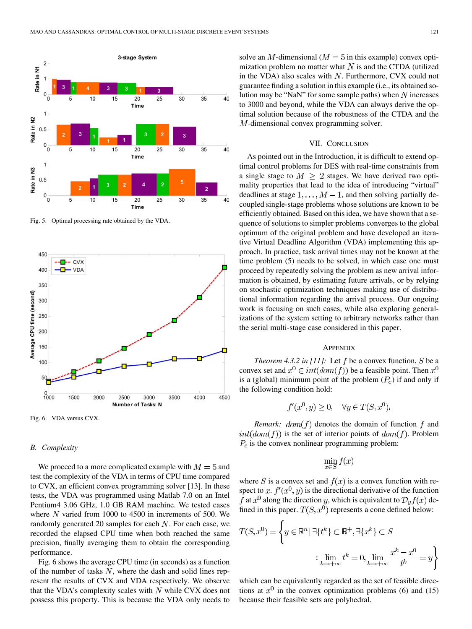

Fig. 5. Optimal processing rate obtained by the VDA.



Fig. 6. VDA versus CVX.

#### *B. Complexity*

We proceed to a more complicated example with  $M = 5$  and test the complexity of the VDA in terms of CPU time compared to CVX, an efficient convex programming solver [13]. In these tests, the VDA was programmed using Matlab 7.0 on an Intel Pentium4 3.06 GHz, 1.0 GB RAM machine. We tested cases where  $N$  varied from 1000 to 4500 in increments of 500. We randomly generated 20 samples for each  $N$ . For each case, we recorded the elapsed CPU time when both reached the same precision, finally averaging them to obtain the corresponding performance.

Fig. 6 shows the average CPU time (in seconds) as a function of the number of tasks  $N$ , where the dash and solid lines represent the results of CVX and VDA respectively. We observe that the VDA's complexity scales with  $N$  while CVX does not possess this property. This is because the VDA only needs to solve an M-dimensional ( $M = 5$  in this example) convex optimization problem no matter what  $N$  is and the CTDA (utilized in the VDA) also scales with  $N$ . Furthermore, CVX could not guarantee finding a solution in this example (i.e., its obtained solution may be "NaN" for some sample paths) when  $N$  increases to 3000 and beyond, while the VDA can always derive the optimal solution because of the robustness of the CTDA and the M-dimensional convex programming solver.

### VII. CONCLUSION

As pointed out in the Introduction, it is difficult to extend optimal control problems for DES with real-time constraints from a single stage to  $M \geq 2$  stages. We have derived two optimality properties that lead to the idea of introducing "virtual" deadlines at stage  $1, \ldots, M-1$ , and then solving partially decoupled single-stage problems whose solutions are known to be efficiently obtained. Based on this idea, we have shown that a sequence of solutions to simpler problems converges to the global optimum of the original problem and have developed an iterative Virtual Deadline Algorithm (VDA) implementing this approach. In practice, task arrival times may not be known at the time problem (5) needs to be solved, in which case one must proceed by repeatedly solving the problem as new arrival information is obtained, by estimating future arrivals, or by relying on stochastic optimization techniques making use of distributional information regarding the arrival process. Our ongoing work is focusing on such cases, while also exploring generalizations of the system setting to arbitrary networks rather than the serial multi-stage case considered in this paper.

#### **APPENDIX**

*Theorem 4.3.2 in [11]:* Let  $f$  be a convex function,  $S$  be a convex set and  $x^0 \in int(dom(f))$  be a feasible point. Then  $x^0$ is a (global) minimum point of the problem  $(P_c)$  if and only if the following condition hold:

$$
f'(x^0, y) \ge 0, \quad \forall y \in T(S, x^0).
$$

*Remark:*  $dom(f)$  denotes the domain of function f and  $int(dom(f))$  is the set of interior points of  $dom(f)$ . Problem  $P_c$  is the convex nonlinear programming problem:

$$
\min_{x \in S} f(x)
$$

where S is a convex set and  $f(x)$  is a convex function with respect to x.  $f'(x^0, y)$  is the directional derivative of the function f at  $x^0$  along the direction y, which is equivalent to  $\mathcal{D}_y f(x)$  defined in this paper.  $T(S, x^0)$  represents a cone defined below:

$$
T(S, x^0) = \left\{ y \in \mathbb{R}^n \mid \exists \{t^k\} \subset \mathbb{R}^+, \exists \{x^k\} \subset S
$$

$$
\vdots \lim_{k \to +\infty} t^k = 0, \lim_{k \to +\infty} \frac{x^k - x^0}{t^k} = y \right\}
$$

which can be equivalently regarded as the set of feasible directions at  $x^0$  in the convex optimization problems (6) and (15) because their feasible sets are polyhedral.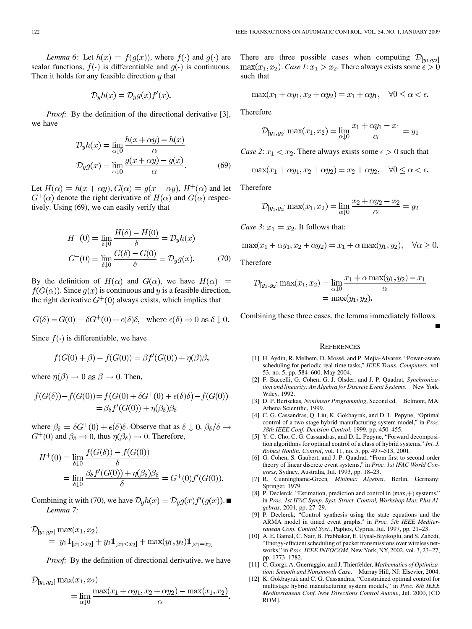*Lemma 6:* Let  $h(x) = f(g(x))$ , where  $f(\cdot)$  and  $g(\cdot)$  are scalar functions,  $f(\cdot)$  is differentiable and  $g(\cdot)$  is continuous. Then it holds for any feasible direction  $y$  that

$$
\mathcal{D}_y h(x) = \mathcal{D}_y g(x) f'(x).
$$

*Proof:* By the definition of the directional derivative [3], we have

$$
\mathcal{D}_y h(x) = \lim_{\alpha \downarrow 0} \frac{h(x + \alpha y) - h(x)}{\alpha}
$$

$$
\mathcal{D}_y g(x) = \lim_{\alpha \downarrow 0} \frac{g(x + \alpha y) - g(x)}{\alpha}.
$$
(69)

Let  $H(\alpha) = h(x + \alpha y)$ ,  $G(\alpha) = q(x + \alpha y)$ ,  $H^+(\alpha)$  and let  $G^{\dagger}(\alpha)$  denote the right derivative of  $H(\alpha)$  and  $G(\alpha)$  respectively. Using (69), we can easily verify that

$$
H^{+}(0) = \lim_{\delta \downarrow 0} \frac{H(\delta) - H(0)}{\delta} = \mathcal{D}_{y} h(x)
$$

$$
G^{+}(0) = \lim_{\delta \downarrow 0} \frac{G(\delta) - G(0)}{\delta} = \mathcal{D}_{y} g(x). \tag{70}
$$

By the definition of  $H(\alpha)$  and  $G(\alpha)$ , we have  $H(\alpha)$  =  $f(G(\alpha))$ . Since  $g(x)$  is continuous and y is a feasible direction, the right derivative  $G^+(0)$  always exists, which implies that

$$
G(\delta) - G(0) = \delta G^+(0) + \epsilon(\delta)\delta, \text{ where } \epsilon(\delta) \to 0 \text{ as } \delta \downarrow 0.
$$

Since  $f(\cdot)$  is differentiable, we have

$$
f(G(0) + \beta) - f(G(0)) = \beta f'(G(0)) + \eta(\beta)\beta,
$$

where  $\eta(\beta) \to 0$  as  $\beta \to 0$ . Then,

$$
f(G(\delta)) - f(G(0)) = f(G(0) + \delta G^+(0) + \epsilon(\delta)\delta) - f(G(0))
$$
  
=  $\beta_{\delta} f'(G(0)) + \eta(\beta_{\delta})\beta_{\delta}$ 

where  $\beta_{\delta} = \delta G^+(0) + \epsilon(\delta)\delta$ . Observe that as  $\delta \downarrow 0$ ,  $\beta_{\delta}/\delta \rightarrow$  $G^+(0)$  and  $\beta_{\delta} \to 0$ , thus  $\eta(\beta_{\delta}) \to 0$ . Therefore,

$$
H^{+}(0) = \lim_{\delta \downarrow 0} \frac{f(G(\delta)) - f(G(0))}{\delta}
$$
  
= 
$$
\lim_{\delta \downarrow 0} \frac{\beta_{\delta} f'(G(0)) + \eta(\beta_{\delta})\beta_{\delta}}{\delta} = G^{+}(0) f'(G(0)).
$$

Combining it with (70), we have  $\mathcal{D}_y h(x) = \mathcal{D}_y g(x) f'(g(x))$ . *Lemma 7:*

$$
\mathcal{D}_{[y_1,y_2]} \max(x_1,x_2)
$$
  
=  $y_1 \mathbf{1}_{[x_1>x_2]} + y_2 \mathbf{1}_{[x_1$ 

*Proof:* By the definition of directional derivative, we have

$$
\mathcal{D}_{[y_1, y_2]} \max(x_1, x_2)
$$
  
= 
$$
\lim_{\alpha \downarrow 0} \frac{\max(x_1 + \alpha y_1, x_2 + \alpha y_2) - \max(x_1, x_2)}{\alpha}
$$

There are three possible cases when computing  $\mathcal{D}_{[y_1,y_2]}$  $max(x_1, x_2)$ . *Case 1*:  $x_1 > x_2$ . There always exists some  $\epsilon > 0$ such that

$$
\max(x_1 + \alpha y_1, x_2 + \alpha y_2) = x_1 + \alpha y_1, \quad \forall 0 \le \alpha < \epsilon.
$$

Therefore

$$
\mathcal{D}_{[y_1, y_2]} \max(x_1, x_2) = \lim_{\alpha \downarrow 0} \frac{x_1 + \alpha y_1 - x_1}{\alpha} = y_1
$$

*Case 2*:  $x_1 < x_2$ . There always exists some  $\epsilon > 0$  such that

$$
\max(x_1 + \alpha y_1, x_2 + \alpha y_2) = x_2 + \alpha y_2, \quad \forall 0 \le \alpha < \epsilon.
$$

Therefore

$$
\mathcal{D}_{[y_1, y_2]} \max(x_1, x_2) = \lim_{\alpha \downarrow 0} \frac{x_2 + \alpha y_2 - x_2}{\alpha} = y_2
$$

*Case 3*:  $x_1 = x_2$ . It follows that:

$$
\max(x_1 + \alpha y_1, x_2 + \alpha y_2) = x_1 + \alpha \max(y_1, y_2), \quad \forall \alpha \ge 0.
$$

Therefore

$$
\mathcal{D}_{[y_1, y_2]} \max(x_1, x_2) = \lim_{\alpha \downarrow 0} \frac{x_1 + \alpha \max(y_1, y_2) - x_1}{\alpha} \n= \max(y_1, y_2).
$$

Combining these three cases, the lemma immediately follows.

#### **REFERENCES**

- [1] H. Aydin, R. Melhem, D. Mossé, and P. Mejia-Alvarez, "Power-aware scheduling for periodic real-time tasks," *IEEE Trans. Computers*, vol. 53, no. 5, pp. 584–600, May 2004.
- [2] F. Baccelli, G. Cohen, G. J. Olsder, and J. P. Quadrat*, Synchronization and linearity: An Algebra for Discrete Event Systems*. New York: Wiley, 1992.
- [3] D. P. Bertsekas*, Nonlinear Programming*, Second ed. Belmont, MA: Athena Scientific, 1999.
- [4] C. G. Cassandras, Q. Liu, K. Gokbayrak, and D. L. Pepyne, "Optimal control of a two-stage hybrid manufacturing system model," in *Proc. 38th IEEE Conf. Decision Control*, 1999, pp. 450–455.
- [5] Y. C. Cho, C. G. Cassandras, and D. L. Pepyne, "Forward decomposition algorithms for optimal control of a class of hybrid systems," *Int. J. Robust Nonlin. Control*, vol. 11, no. 5, pp. 497–513, 2001.
- [6] G. Cohen, S. Gaubert, and J. P. Quadrat, "From first to second-order theory of linear discrete event systems," in *Proc. 1st IFAC World Congress*, Sydney, Australia, Jul. 1993, pp. 18–23.
- [7] R. Cunninghame-Green*, Minimax Algebra*. Berlin, Germany: Springer, 1979.
- [8] P. Declerck, "Estimation, prediction and control in (max, +) systems," in *Proc. 1st IFAC Symp. Syst. Struct. Control, Workshop Max-Plus Algebras*, 2001, pp. 27–29.
- [9] P. Declerck, "Control synthesis using the state equations and the ARMA model in timed event graphs," in *Proc. 5th IEEE Mediterranean Conf. Control Syst.*, Paphos, Cyprus, Jul. 1997, pp. 21–23.
- [10] A. E. Gamal, C. Nair, B. Prabhakar, E. Uysal-Biyikoglu, and S. Zahedi, "Energy-efficient scheduling of packet transmissions over wireless networks," in *Proc. IEEE INFOCOM*, New York, NY, 2002, vol. 3, 23–27, pp. 1773–1782.
- [11] C. Giorgi, A. Guerraggio, and J. Thierfelder*, Mathematics of Optimization: Smooth and Nonsmooth Case*. Murray Hill, NJ: Elsevier, 2004.
- [12] K. Gokbayrak and C. G. Cassandras, "Constrained optimal control for multistage hybrid manufacturing system models," in *Proc. 8th IEEE Mediterranean Conf. New Directions Control Autom.*, Jul. 2000, [CD ROM].